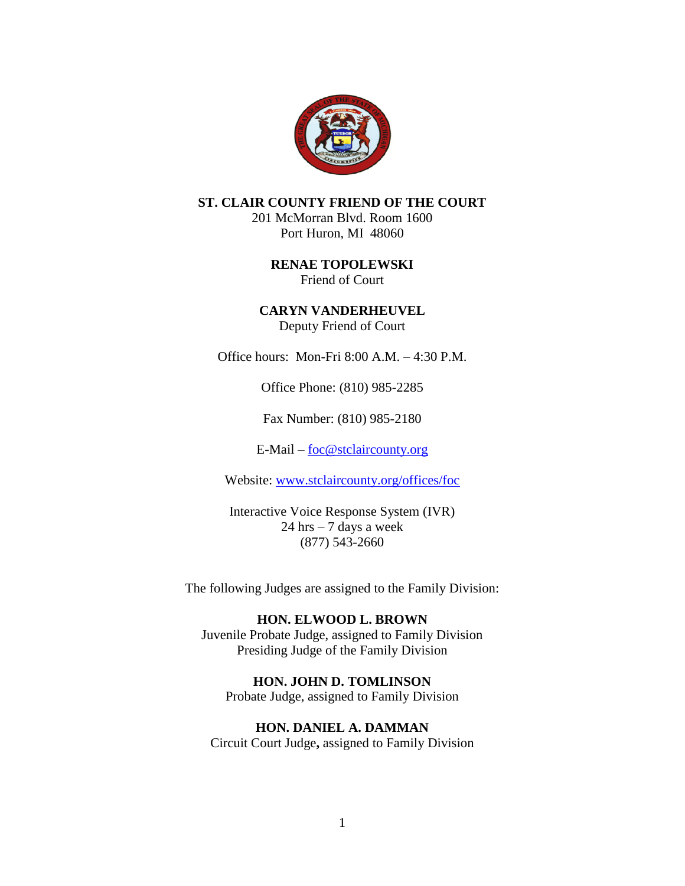

## **ST. CLAIR COUNTY FRIEND OF THE COURT**

201 McMorran Blvd. Room 1600 Port Huron, MI 48060

> **RENAE TOPOLEWSKI** Friend of Court

**CARYN VANDERHEUVEL** Deputy Friend of Court

Office hours: Mon-Fri 8:00 A.M. – 4:30 P.M.

Office Phone: (810) 985-2285

Fax Number: (810) 985-2180

E-Mail – [foc@stclaircounty.org](mailto:foc@stclaircounty.org)

Website: [www.stclaircounty.org/offices/foc](http://www.stclaircounty.org/offices/foc)

Interactive Voice Response System (IVR) 24 hrs – 7 days a week (877) 543-2660

The following Judges are assigned to the Family Division:

### **HON. ELWOOD L. BROWN**

Juvenile Probate Judge, assigned to Family Division Presiding Judge of the Family Division

## **HON. JOHN D. TOMLINSON**

Probate Judge, assigned to Family Division

**HON. DANIEL A. DAMMAN**

Circuit Court Judge**,** assigned to Family Division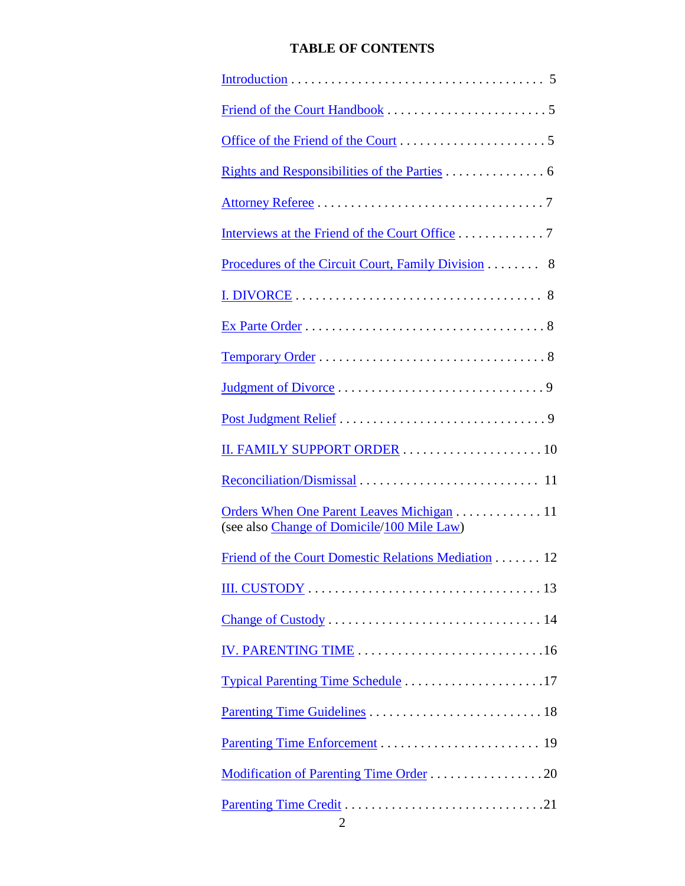# **TABLE OF CONTENTS**

| <u>Rights and Responsibilities of the Parties</u> 6                                     |
|-----------------------------------------------------------------------------------------|
|                                                                                         |
| Interviews at the Friend of the Court Office 7                                          |
| Procedures of the Circuit Court, Family Division 8                                      |
|                                                                                         |
|                                                                                         |
|                                                                                         |
|                                                                                         |
|                                                                                         |
|                                                                                         |
|                                                                                         |
| Orders When One Parent Leaves Michigan 11<br>(see also Change of Domicile/100 Mile Law) |
| Friend of the Court Domestic Relations Mediation 12                                     |
|                                                                                         |
|                                                                                         |
|                                                                                         |
|                                                                                         |
|                                                                                         |
|                                                                                         |
|                                                                                         |
|                                                                                         |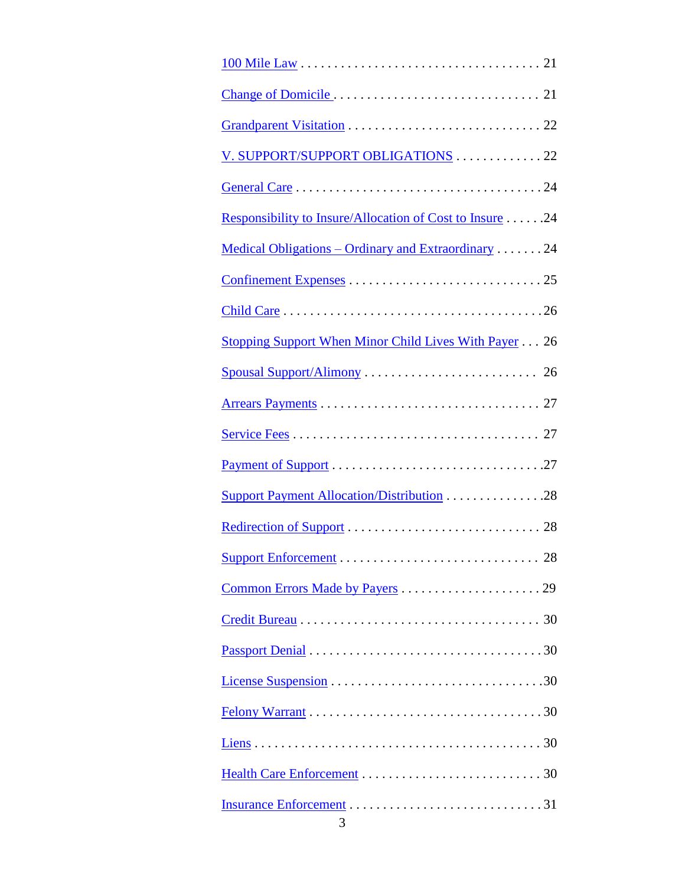| V. SUPPORT/SUPPORT OBLIGATIONS 22                           |
|-------------------------------------------------------------|
|                                                             |
| Responsibility to Insure/Allocation of Cost to Insure 24    |
| <u> Medical Obligations – Ordinary and Extraordinary</u> 24 |
|                                                             |
|                                                             |
| Stopping Support When Minor Child Lives With Payer 26       |
|                                                             |
|                                                             |
|                                                             |
|                                                             |
| Support Payment Allocation/Distribution 28                  |
|                                                             |
|                                                             |
|                                                             |
|                                                             |
|                                                             |
|                                                             |
|                                                             |
|                                                             |
|                                                             |
|                                                             |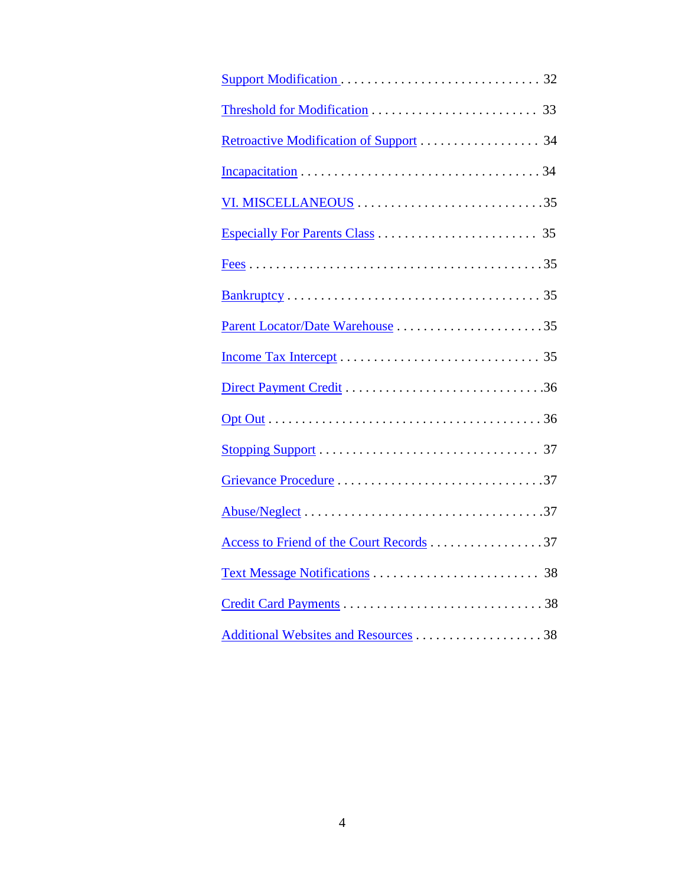| Access to Friend of the Court Records 37 |
|------------------------------------------|
|                                          |
|                                          |
| Additional Websites and Resources 38     |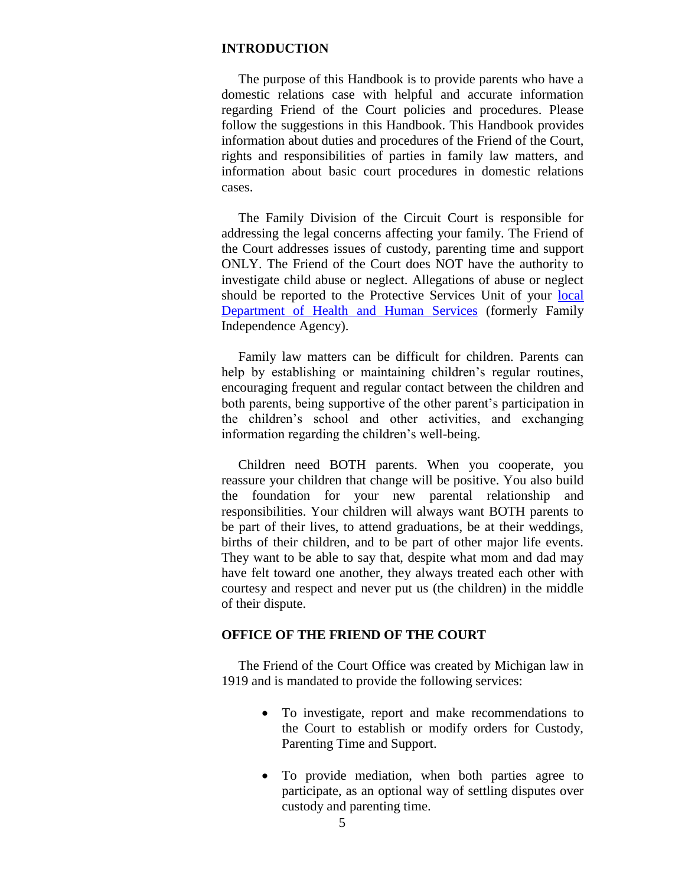### **INTRODUCTION**

 The purpose of this Handbook is to provide parents who have a domestic relations case with helpful and accurate information regarding Friend of the Court policies and procedures. Please follow the suggestions in this Handbook. This Handbook provides information about duties and procedures of the Friend of the Court, rights and responsibilities of parties in family law matters, and information about basic court procedures in domestic relations cases.

 The Family Division of the Circuit Court is responsible for addressing the legal concerns affecting your family. The Friend of the Court addresses issues of custody, parenting time and support ONLY. The Friend of the Court does NOT have the authority to investigate child abuse or neglect. Allegations of abuse or neglect should be reported to the Protective Services Unit of your local [Department of Health and Human Services](https://www.michigan.gov/mdhhs) (formerly Family Independence Agency).

 Family law matters can be difficult for children. Parents can help by establishing or maintaining children's regular routines, encouraging frequent and regular contact between the children and both parents, being supportive of the other parent's participation in the children's school and other activities, and exchanging information regarding the children's well-being.

 Children need BOTH parents. When you cooperate, you reassure your children that change will be positive. You also build the foundation for your new parental relationship and responsibilities. Your children will always want BOTH parents to be part of their lives, to attend graduations, be at their weddings, births of their children, and to be part of other major life events. They want to be able to say that, despite what mom and dad may have felt toward one another, they always treated each other with courtesy and respect and never put us (the children) in the middle of their dispute.

### **OFFICE OF THE FRIEND OF THE COURT**

 The Friend of the Court Office was created by Michigan law in 1919 and is mandated to provide the following services:

- To investigate, report and make recommendations to the Court to establish or modify orders for Custody, Parenting Time and Support.
- To provide mediation, when both parties agree to participate, as an optional way of settling disputes over custody and parenting time.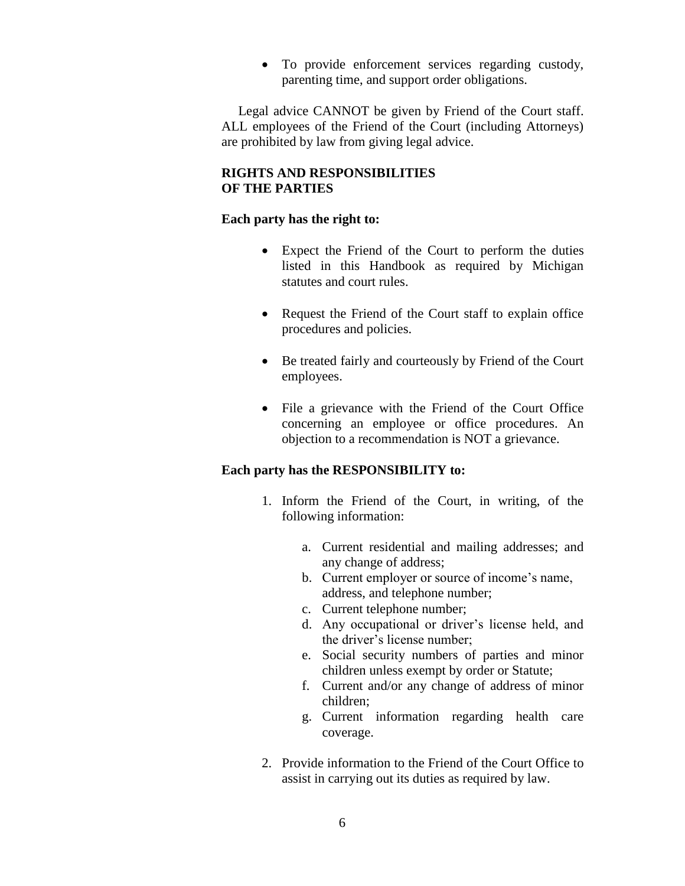To provide enforcement services regarding custody, parenting time, and support order obligations.

 Legal advice CANNOT be given by Friend of the Court staff. ALL employees of the Friend of the Court (including Attorneys) are prohibited by law from giving legal advice.

## **RIGHTS AND RESPONSIBILITIES OF THE PARTIES**

## **Each party has the right to:**

- Expect the Friend of the Court to perform the duties listed in this Handbook as required by Michigan statutes and court rules.
- Request the Friend of the Court staff to explain office procedures and policies.
- Be treated fairly and courteously by Friend of the Court employees.
- File a grievance with the Friend of the Court Office concerning an employee or office procedures. An objection to a recommendation is NOT a grievance.

## **Each party has the RESPONSIBILITY to:**

- 1. Inform the Friend of the Court, in writing, of the following information:
	- a. Current residential and mailing addresses; and any change of address;
	- b. Current employer or source of income's name, address, and telephone number;
	- c. Current telephone number;
	- d. Any occupational or driver's license held, and the driver's license number;
	- e. Social security numbers of parties and minor children unless exempt by order or Statute;
	- f. Current and/or any change of address of minor children;
	- g. Current information regarding health care coverage.
- 2. Provide information to the Friend of the Court Office to assist in carrying out its duties as required by law.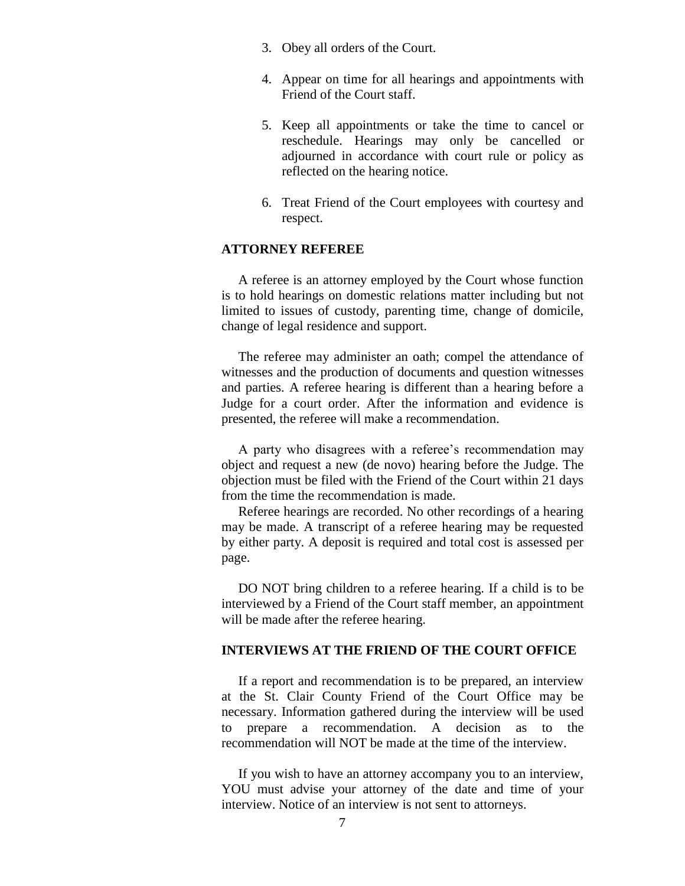- 3. Obey all orders of the Court.
- 4. Appear on time for all hearings and appointments with Friend of the Court staff.
- 5. Keep all appointments or take the time to cancel or reschedule. Hearings may only be cancelled or adjourned in accordance with court rule or policy as reflected on the hearing notice.
- 6. Treat Friend of the Court employees with courtesy and respect.

## **ATTORNEY REFEREE**

A referee is an attorney employed by the Court whose function is to hold hearings on domestic relations matter including but not limited to issues of custody, parenting time, change of domicile, change of legal residence and support.

 The referee may administer an oath; compel the attendance of witnesses and the production of documents and question witnesses and parties. A referee hearing is different than a hearing before a Judge for a court order. After the information and evidence is presented, the referee will make a recommendation.

 A party who disagrees with a referee's recommendation may object and request a new (de novo) hearing before the Judge. The objection must be filed with the Friend of the Court within 21 days from the time the recommendation is made.

 Referee hearings are recorded. No other recordings of a hearing may be made. A transcript of a referee hearing may be requested by either party. A deposit is required and total cost is assessed per page.

 DO NOT bring children to a referee hearing. If a child is to be interviewed by a Friend of the Court staff member, an appointment will be made after the referee hearing.

### **INTERVIEWS AT THE FRIEND OF THE COURT OFFICE**

 If a report and recommendation is to be prepared, an interview at the St. Clair County Friend of the Court Office may be necessary. Information gathered during the interview will be used to prepare a recommendation. A decision as to the recommendation will NOT be made at the time of the interview.

 If you wish to have an attorney accompany you to an interview, YOU must advise your attorney of the date and time of your interview. Notice of an interview is not sent to attorneys.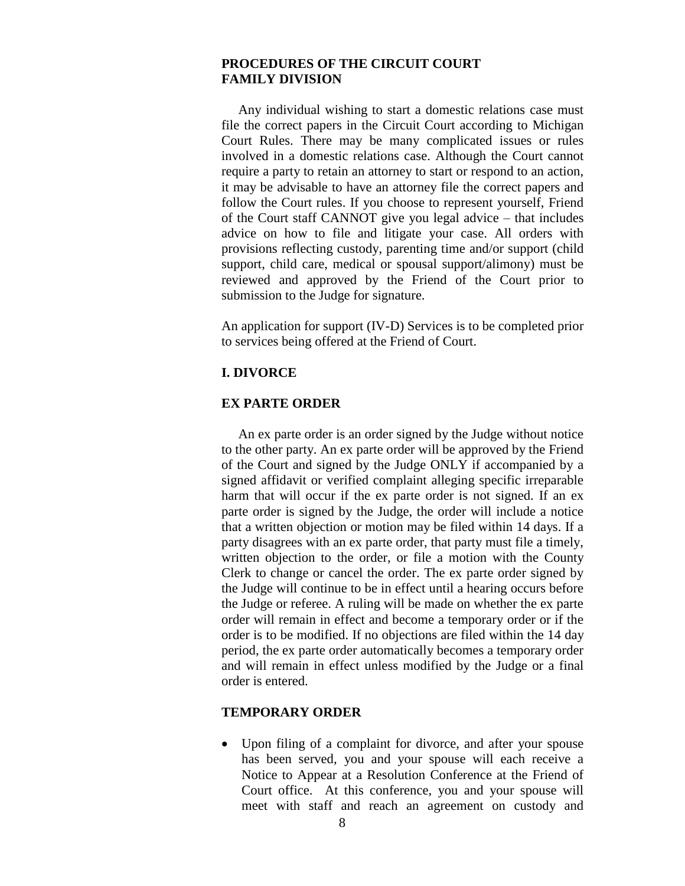## **PROCEDURES OF THE CIRCUIT COURT FAMILY DIVISION**

 Any individual wishing to start a domestic relations case must file the correct papers in the Circuit Court according to Michigan Court Rules. There may be many complicated issues or rules involved in a domestic relations case. Although the Court cannot require a party to retain an attorney to start or respond to an action, it may be advisable to have an attorney file the correct papers and follow the Court rules. If you choose to represent yourself, Friend of the Court staff CANNOT give you legal advice – that includes advice on how to file and litigate your case. All orders with provisions reflecting custody, parenting time and/or support (child support, child care, medical or spousal support/alimony) must be reviewed and approved by the Friend of the Court prior to submission to the Judge for signature.

An application for support (IV-D) Services is to be completed prior to services being offered at the Friend of Court.

### **I. DIVORCE**

### **EX PARTE ORDER**

 An ex parte order is an order signed by the Judge without notice to the other party. An ex parte order will be approved by the Friend of the Court and signed by the Judge ONLY if accompanied by a signed affidavit or verified complaint alleging specific irreparable harm that will occur if the ex parte order is not signed. If an ex parte order is signed by the Judge, the order will include a notice that a written objection or motion may be filed within 14 days. If a party disagrees with an ex parte order, that party must file a timely, written objection to the order, or file a motion with the County Clerk to change or cancel the order. The ex parte order signed by the Judge will continue to be in effect until a hearing occurs before the Judge or referee. A ruling will be made on whether the ex parte order will remain in effect and become a temporary order or if the order is to be modified. If no objections are filed within the 14 day period, the ex parte order automatically becomes a temporary order and will remain in effect unless modified by the Judge or a final order is entered.

### **TEMPORARY ORDER**

 Upon filing of a complaint for divorce, and after your spouse has been served, you and your spouse will each receive a Notice to Appear at a Resolution Conference at the Friend of Court office. At this conference, you and your spouse will meet with staff and reach an agreement on custody and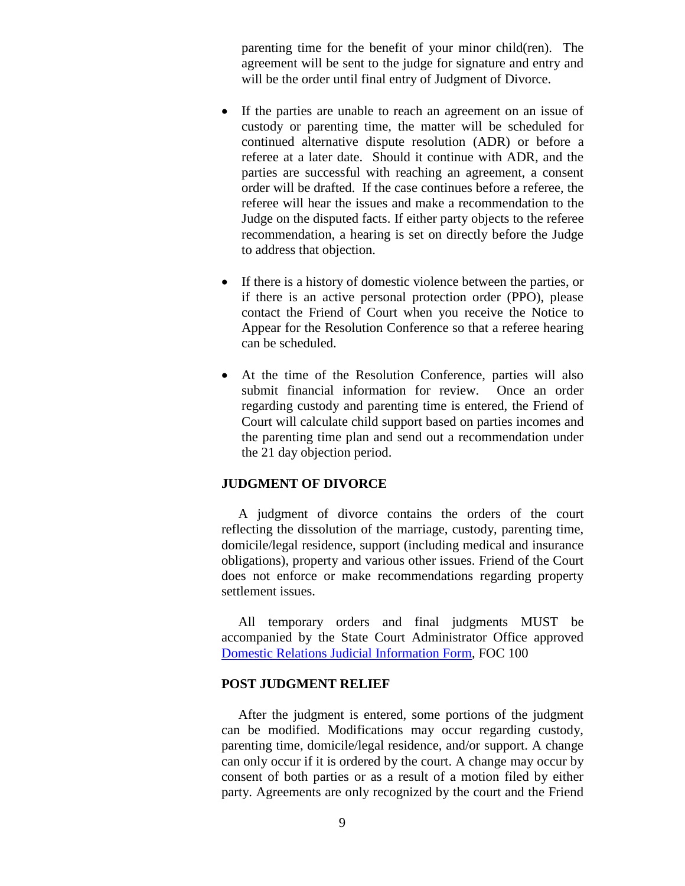parenting time for the benefit of your minor child(ren). The agreement will be sent to the judge for signature and entry and will be the order until final entry of Judgment of Divorce.

- If the parties are unable to reach an agreement on an issue of custody or parenting time, the matter will be scheduled for continued alternative dispute resolution (ADR) or before a referee at a later date. Should it continue with ADR, and the parties are successful with reaching an agreement, a consent order will be drafted. If the case continues before a referee, the referee will hear the issues and make a recommendation to the Judge on the disputed facts. If either party objects to the referee recommendation, a hearing is set on directly before the Judge to address that objection.
- If there is a history of domestic violence between the parties, or if there is an active personal protection order (PPO), please contact the Friend of Court when you receive the Notice to Appear for the Resolution Conference so that a referee hearing can be scheduled.
- At the time of the Resolution Conference, parties will also submit financial information for review. Once an order regarding custody and parenting time is entered, the Friend of Court will calculate child support based on parties incomes and the parenting time plan and send out a recommendation under the 21 day objection period.

### **JUDGMENT OF DIVORCE**

 A judgment of divorce contains the orders of the court reflecting the dissolution of the marriage, custody, parenting time, domicile/legal residence, support (including medical and insurance obligations), property and various other issues. Friend of the Court does not enforce or make recommendations regarding property settlement issues.

 All temporary orders and final judgments MUST be accompanied by the State Court Administrator Office approved [Domestic Relations Judicial Information Form,](http://courts.mi.gov/Administration/SCAO/Forms/courtforms/domesticrelations/generalfoc/foc100.pdf#search="domestic relations judicial information form" ) FOC 100

## **POST JUDGMENT RELIEF**

After the judgment is entered, some portions of the judgment can be modified. Modifications may occur regarding custody, parenting time, domicile/legal residence, and/or support. A change can only occur if it is ordered by the court. A change may occur by consent of both parties or as a result of a motion filed by either party. Agreements are only recognized by the court and the Friend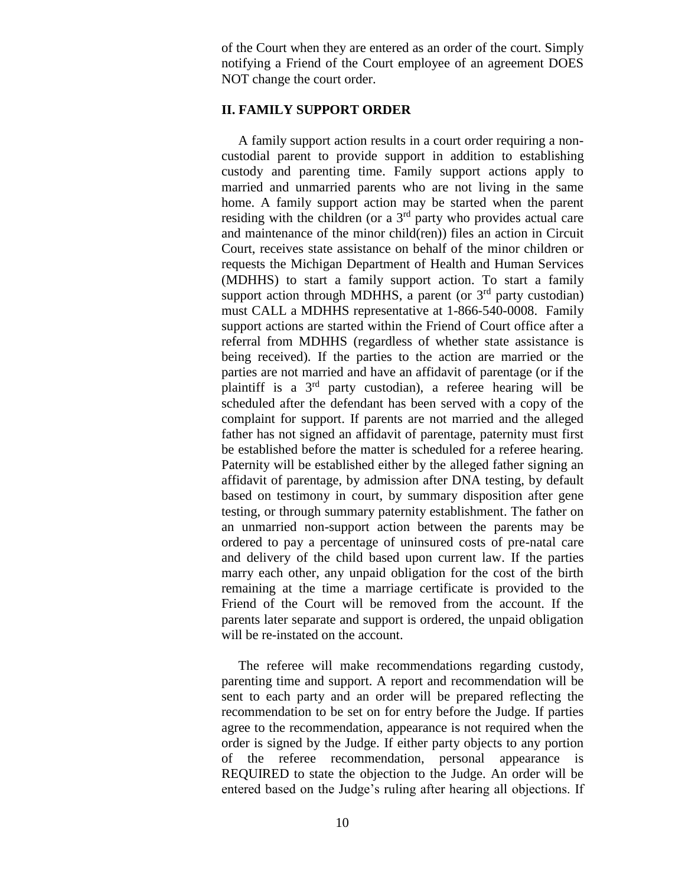of the Court when they are entered as an order of the court. Simply notifying a Friend of the Court employee of an agreement DOES NOT change the court order.

## **II. FAMILY SUPPORT ORDER**

 A family support action results in a court order requiring a noncustodial parent to provide support in addition to establishing custody and parenting time. Family support actions apply to married and unmarried parents who are not living in the same home. A family support action may be started when the parent residing with the children (or a  $3<sup>rd</sup>$  party who provides actual care and maintenance of the minor child(ren)) files an action in Circuit Court, receives state assistance on behalf of the minor children or requests the Michigan Department of Health and Human Services (MDHHS) to start a family support action. To start a family support action through MDHHS, a parent (or  $3<sup>rd</sup>$  party custodian) must CALL a MDHHS representative at 1-866-540-0008. Family support actions are started within the Friend of Court office after a referral from MDHHS (regardless of whether state assistance is being received). If the parties to the action are married or the parties are not married and have an affidavit of parentage (or if the plaintiff is a 3rd party custodian), a referee hearing will be scheduled after the defendant has been served with a copy of the complaint for support. If parents are not married and the alleged father has not signed an affidavit of parentage, paternity must first be established before the matter is scheduled for a referee hearing. Paternity will be established either by the alleged father signing an affidavit of parentage, by admission after DNA testing, by default based on testimony in court, by summary disposition after gene testing, or through summary paternity establishment. The father on an unmarried non-support action between the parents may be ordered to pay a percentage of uninsured costs of pre-natal care and delivery of the child based upon current law. If the parties marry each other, any unpaid obligation for the cost of the birth remaining at the time a marriage certificate is provided to the Friend of the Court will be removed from the account. If the parents later separate and support is ordered, the unpaid obligation will be re-instated on the account.

 The referee will make recommendations regarding custody, parenting time and support. A report and recommendation will be sent to each party and an order will be prepared reflecting the recommendation to be set on for entry before the Judge. If parties agree to the recommendation, appearance is not required when the order is signed by the Judge. If either party objects to any portion of the referee recommendation, personal appearance is REQUIRED to state the objection to the Judge. An order will be entered based on the Judge's ruling after hearing all objections. If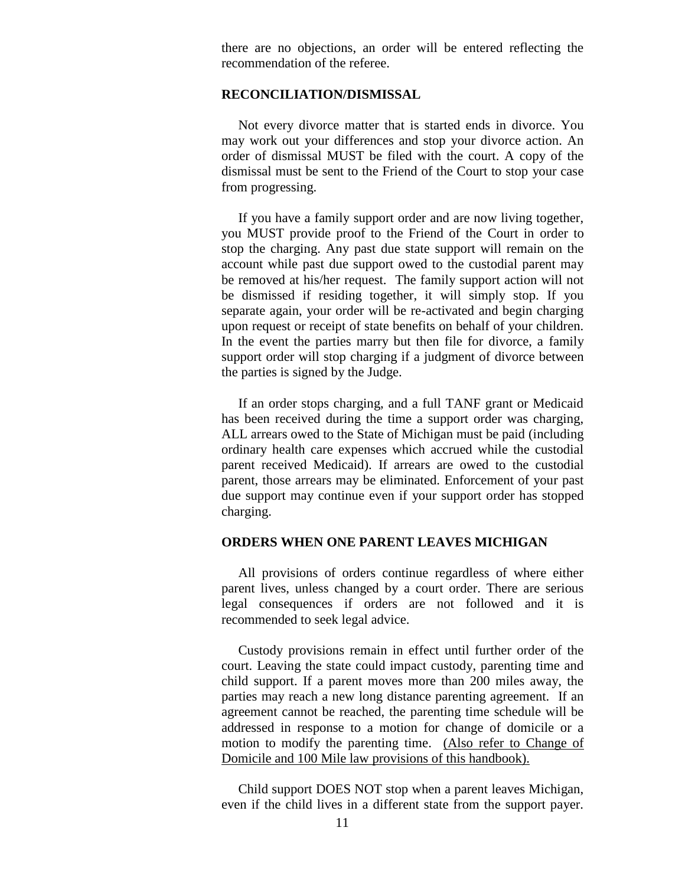there are no objections, an order will be entered reflecting the recommendation of the referee.

#### **RECONCILIATION/DISMISSAL**

Not every divorce matter that is started ends in divorce. You may work out your differences and stop your divorce action. An order of dismissal MUST be filed with the court. A copy of the dismissal must be sent to the Friend of the Court to stop your case from progressing.

 If you have a family support order and are now living together, you MUST provide proof to the Friend of the Court in order to stop the charging. Any past due state support will remain on the account while past due support owed to the custodial parent may be removed at his/her request. The family support action will not be dismissed if residing together, it will simply stop. If you separate again, your order will be re-activated and begin charging upon request or receipt of state benefits on behalf of your children. In the event the parties marry but then file for divorce, a family support order will stop charging if a judgment of divorce between the parties is signed by the Judge.

 If an order stops charging, and a full TANF grant or Medicaid has been received during the time a support order was charging, ALL arrears owed to the State of Michigan must be paid (including ordinary health care expenses which accrued while the custodial parent received Medicaid). If arrears are owed to the custodial parent, those arrears may be eliminated. Enforcement of your past due support may continue even if your support order has stopped charging.

## **ORDERS WHEN ONE PARENT LEAVES MICHIGAN**

All provisions of orders continue regardless of where either parent lives, unless changed by a court order. There are serious legal consequences if orders are not followed and it is recommended to seek legal advice.

 Custody provisions remain in effect until further order of the court. Leaving the state could impact custody, parenting time and child support. If a parent moves more than 200 miles away, the parties may reach a new long distance parenting agreement. If an agreement cannot be reached, the parenting time schedule will be addressed in response to a motion for change of domicile or a motion to modify the parenting time. (Also refer to Change of Domicile and 100 Mile law provisions of this handbook).

 Child support DOES NOT stop when a parent leaves Michigan, even if the child lives in a different state from the support payer.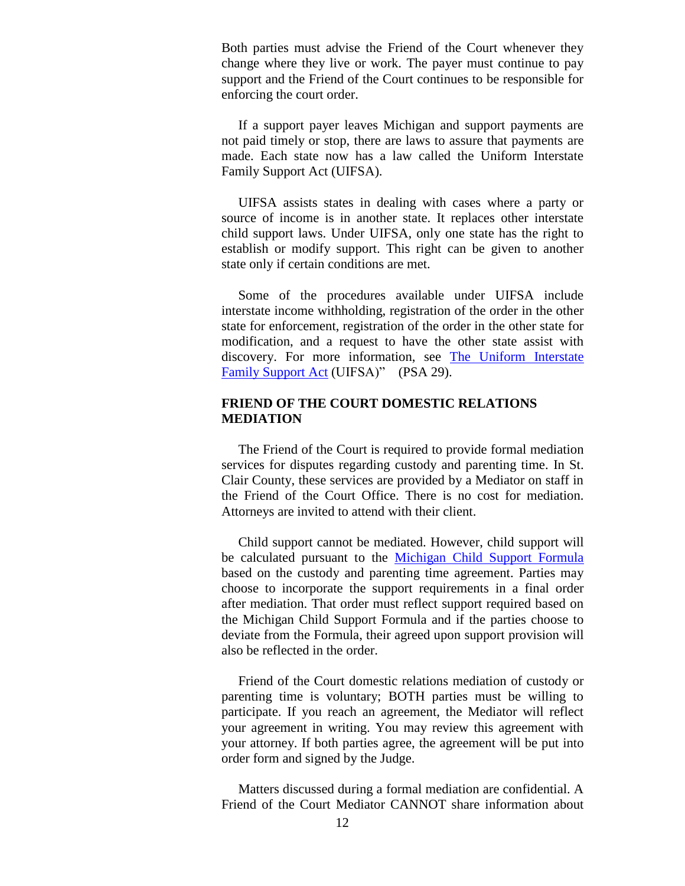Both parties must advise the Friend of the Court whenever they change where they live or work. The payer must continue to pay support and the Friend of the Court continues to be responsible for enforcing the court order.

 If a support payer leaves Michigan and support payments are not paid timely or stop, there are laws to assure that payments are made. Each state now has a law called the Uniform Interstate Family Support Act (UIFSA).

 UIFSA assists states in dealing with cases where a party or source of income is in another state. It replaces other interstate child support laws. Under UIFSA, only one state has the right to establish or modify support. This right can be given to another state only if certain conditions are met.

 Some of the procedures available under UIFSA include interstate income withholding, registration of the order in the other state for enforcement, registration of the order in the other state for modification, and a request to have the other state assist with discovery. For more information, see [The Uniform Interstate](https://www.courts.michigan.gov/4a71b9/siteassets/publications/pamphletsbrochures/focb/web-view/uifsa_final.pdf)  [Family Support Act](https://www.courts.michigan.gov/4a71b9/siteassets/publications/pamphletsbrochures/focb/web-view/uifsa_final.pdf) (UIFSA)" (PSA 29).

## **FRIEND OF THE COURT DOMESTIC RELATIONS MEDIATION**

The Friend of the Court is required to provide formal mediation services for disputes regarding custody and parenting time. In St. Clair County, these services are provided by a Mediator on staff in the Friend of the Court Office. There is no cost for mediation. Attorneys are invited to attend with their client.

 Child support cannot be mediated. However, child support will be calculated pursuant to the [Michigan Child Support Formula](https://www.courts.michigan.gov/siteassets/court-administration/standardsguidelines/foc/child-support-formula-manual-responsive-html5.zip/index.html#t=Child_Support_Formula_Manual%2FChild_Support_Front_Matter%2FChild_Support_Front_Matter.htm) based on the custody and parenting time agreement. Parties may choose to incorporate the support requirements in a final order after mediation. That order must reflect support required based on the Michigan Child Support Formula and if the parties choose to deviate from the Formula, their agreed upon support provision will also be reflected in the order.

 Friend of the Court domestic relations mediation of custody or parenting time is voluntary; BOTH parties must be willing to participate. If you reach an agreement, the Mediator will reflect your agreement in writing. You may review this agreement with your attorney. If both parties agree, the agreement will be put into order form and signed by the Judge.

 Matters discussed during a formal mediation are confidential. A Friend of the Court Mediator CANNOT share information about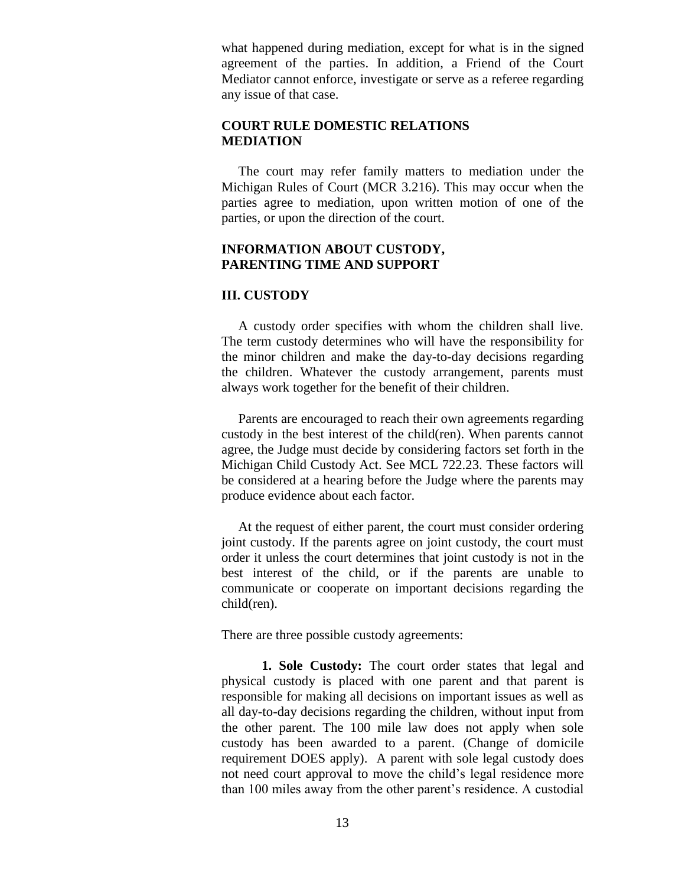what happened during mediation, except for what is in the signed agreement of the parties. In addition, a Friend of the Court Mediator cannot enforce, investigate or serve as a referee regarding any issue of that case.

## **COURT RULE DOMESTIC RELATIONS MEDIATION**

The court may refer family matters to mediation under the Michigan Rules of Court (MCR 3.216). This may occur when the parties agree to mediation, upon written motion of one of the parties, or upon the direction of the court.

## **INFORMATION ABOUT CUSTODY, PARENTING TIME AND SUPPORT**

### **III. CUSTODY**

 A custody order specifies with whom the children shall live. The term custody determines who will have the responsibility for the minor children and make the day-to-day decisions regarding the children. Whatever the custody arrangement, parents must always work together for the benefit of their children.

 Parents are encouraged to reach their own agreements regarding custody in the best interest of the child(ren). When parents cannot agree, the Judge must decide by considering factors set forth in the Michigan Child Custody Act. See MCL 722.23. These factors will be considered at a hearing before the Judge where the parents may produce evidence about each factor.

 At the request of either parent, the court must consider ordering joint custody. If the parents agree on joint custody, the court must order it unless the court determines that joint custody is not in the best interest of the child, or if the parents are unable to communicate or cooperate on important decisions regarding the child(ren).

There are three possible custody agreements:

**1. Sole Custody:** The court order states that legal and physical custody is placed with one parent and that parent is responsible for making all decisions on important issues as well as all day-to-day decisions regarding the children, without input from the other parent. The 100 mile law does not apply when sole custody has been awarded to a parent. (Change of domicile requirement DOES apply). A parent with sole legal custody does not need court approval to move the child's legal residence more than 100 miles away from the other parent's residence. A custodial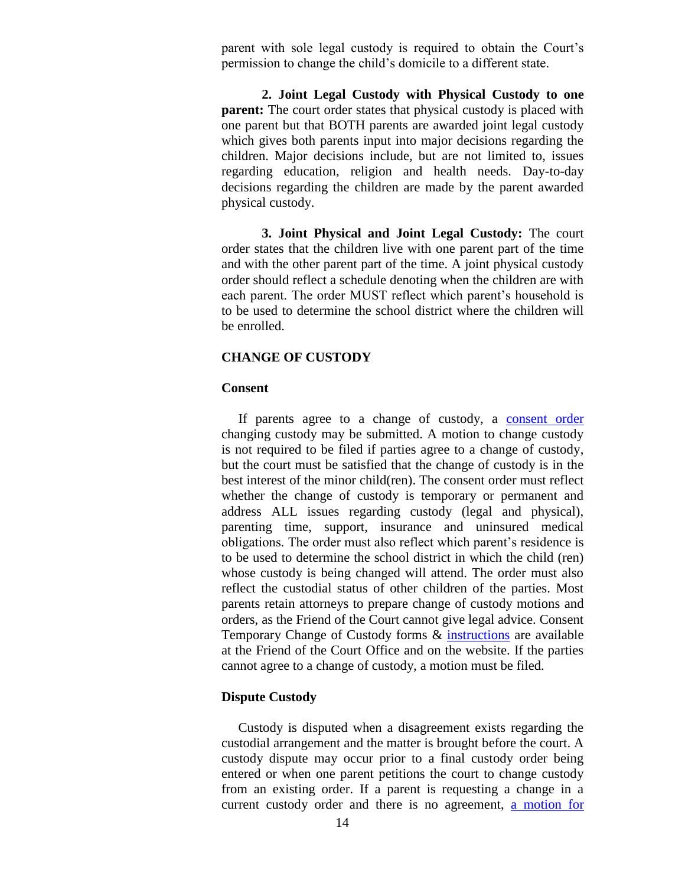parent with sole legal custody is required to obtain the Court's permission to change the child's domicile to a different state.

**2. Joint Legal Custody with Physical Custody to one parent:** The court order states that physical custody is placed with one parent but that BOTH parents are awarded joint legal custody which gives both parents input into major decisions regarding the children. Major decisions include, but are not limited to, issues regarding education, religion and health needs. Day-to-day decisions regarding the children are made by the parent awarded physical custody.

**3. Joint Physical and Joint Legal Custody:** The court order states that the children live with one parent part of the time and with the other parent part of the time. A joint physical custody order should reflect a schedule denoting when the children are with each parent. The order MUST reflect which parent's household is to be used to determine the school district where the children will be enrolled.

## **CHANGE OF CUSTODY**

### **Consent**

If parents agree to a change of custody, a [consent order](https://www.stclaircounty.org/Offices/foc/forms/Consent%20change%20of%20custody.pdf) changing custody may be submitted. A motion to change custody is not required to be filed if parties agree to a change of custody, but the court must be satisfied that the change of custody is in the best interest of the minor child(ren). The consent order must reflect whether the change of custody is temporary or permanent and address ALL issues regarding custody (legal and physical), parenting time, support, insurance and uninsured medical obligations. The order must also reflect which parent's residence is to be used to determine the school district in which the child (ren) whose custody is being changed will attend. The order must also reflect the custodial status of other children of the parties. Most parents retain attorneys to prepare change of custody motions and orders, as the Friend of the Court cannot give legal advice. Consent Temporary Change of Custody forms & [instructions](http://www.stclaircounty.org/Offices/foc/forms/Stip%20custody%20instructions.pdf) are available at the Friend of the Court Office and on the website. If the parties cannot agree to a change of custody, a motion must be filed.

### **Dispute Custody**

 Custody is disputed when a disagreement exists regarding the custodial arrangement and the matter is brought before the court. A custody dispute may occur prior to a final custody order being entered or when one parent petitions the court to change custody from an existing order. If a parent is requesting a change in a current custody order and there is no agreement, [a motion for](http://www.stclaircounty.org/Offices/foc/forms/Motion%20Regarding%20Custody.pdf)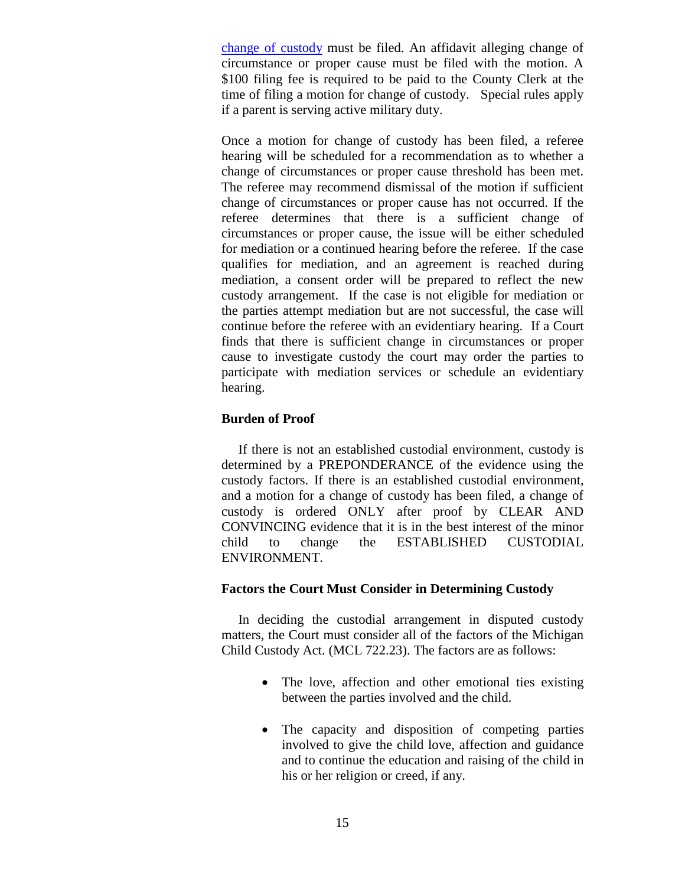[change of custody](http://www.stclaircounty.org/Offices/foc/forms/Motion%20Regarding%20Custody.pdf) must be filed. An affidavit alleging change of circumstance or proper cause must be filed with the motion. A \$100 filing fee is required to be paid to the County Clerk at the time of filing a motion for change of custody. Special rules apply if a parent is serving active military duty.

Once a motion for change of custody has been filed, a referee hearing will be scheduled for a recommendation as to whether a change of circumstances or proper cause threshold has been met. The referee may recommend dismissal of the motion if sufficient change of circumstances or proper cause has not occurred. If the referee determines that there is a sufficient change of circumstances or proper cause, the issue will be either scheduled for mediation or a continued hearing before the referee. If the case qualifies for mediation, and an agreement is reached during mediation, a consent order will be prepared to reflect the new custody arrangement. If the case is not eligible for mediation or the parties attempt mediation but are not successful, the case will continue before the referee with an evidentiary hearing. If a Court finds that there is sufficient change in circumstances or proper cause to investigate custody the court may order the parties to participate with mediation services or schedule an evidentiary hearing.

## **Burden of Proof**

 If there is not an established custodial environment, custody is determined by a PREPONDERANCE of the evidence using the custody factors. If there is an established custodial environment, and a motion for a change of custody has been filed, a change of custody is ordered ONLY after proof by CLEAR AND CONVINCING evidence that it is in the best interest of the minor child to change the ESTABLISHED CUSTODIAL ENVIRONMENT.

## **Factors the Court Must Consider in Determining Custody**

 In deciding the custodial arrangement in disputed custody matters, the Court must consider all of the factors of the Michigan Child Custody Act. (MCL 722.23). The factors are as follows:

- The love, affection and other emotional ties existing between the parties involved and the child.
- The capacity and disposition of competing parties involved to give the child love, affection and guidance and to continue the education and raising of the child in his or her religion or creed, if any.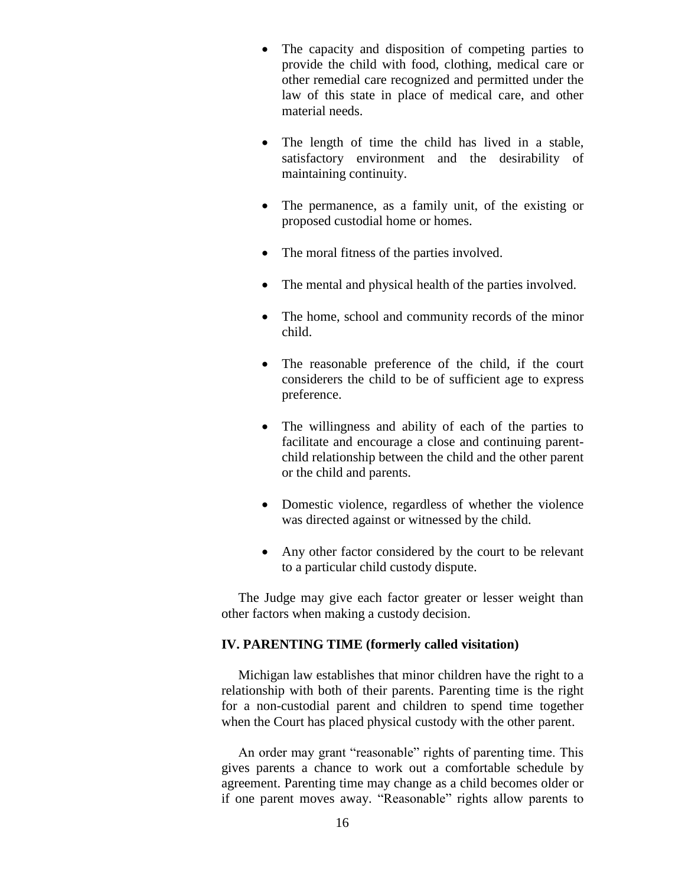- The capacity and disposition of competing parties to provide the child with food, clothing, medical care or other remedial care recognized and permitted under the law of this state in place of medical care, and other material needs.
- The length of time the child has lived in a stable, satisfactory environment and the desirability of maintaining continuity.
- The permanence, as a family unit, of the existing or proposed custodial home or homes.
- The moral fitness of the parties involved.
- The mental and physical health of the parties involved.
- The home, school and community records of the minor child.
- The reasonable preference of the child, if the court considerers the child to be of sufficient age to express preference.
- The willingness and ability of each of the parties to facilitate and encourage a close and continuing parentchild relationship between the child and the other parent or the child and parents.
- Domestic violence, regardless of whether the violence was directed against or witnessed by the child.
- Any other factor considered by the court to be relevant to a particular child custody dispute.

 The Judge may give each factor greater or lesser weight than other factors when making a custody decision.

## **IV. PARENTING TIME (formerly called visitation)**

Michigan law establishes that minor children have the right to a relationship with both of their parents. Parenting time is the right for a non-custodial parent and children to spend time together when the Court has placed physical custody with the other parent.

 An order may grant "reasonable" rights of parenting time. This gives parents a chance to work out a comfortable schedule by agreement. Parenting time may change as a child becomes older or if one parent moves away. "Reasonable" rights allow parents to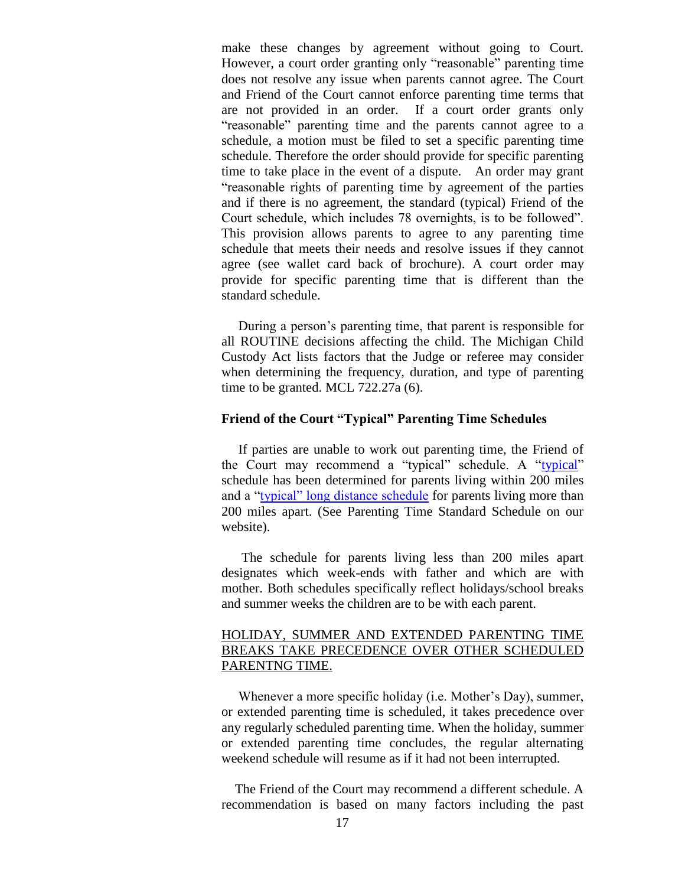make these changes by agreement without going to Court. However, a court order granting only "reasonable" parenting time does not resolve any issue when parents cannot agree. The Court and Friend of the Court cannot enforce parenting time terms that are not provided in an order. If a court order grants only "reasonable" parenting time and the parents cannot agree to a schedule, a motion must be filed to set a specific parenting time schedule. Therefore the order should provide for specific parenting time to take place in the event of a dispute. An order may grant "reasonable rights of parenting time by agreement of the parties and if there is no agreement, the standard (typical) Friend of the Court schedule, which includes 78 overnights, is to be followed". This provision allows parents to agree to any parenting time schedule that meets their needs and resolve issues if they cannot agree (see wallet card back of brochure). A court order may provide for specific parenting time that is different than the standard schedule.

 During a person's parenting time, that parent is responsible for all ROUTINE decisions affecting the child. The Michigan Child Custody Act lists factors that the Judge or referee may consider when determining the frequency, duration, and type of parenting time to be granted. MCL 722.27a (6).

### **Friend of the Court "Typical" Parenting Time Schedules**

 If parties are unable to work out parenting time, the Friend of the Court may recommend a "typical" schedule. A ["typical"](https://www.stclaircounty.org/Offices/foc/parenting.aspx?meid=116) schedule has been determined for parents living within 200 miles and a ["typical" long distance schedule](http://www.stclaircounty.org/Offices/foc/forms/Parenting%20time%20typical%20long%20distance%20schedule.pdf) for parents living more than 200 miles apart. (See Parenting Time Standard Schedule on our website).

 The schedule for parents living less than 200 miles apart designates which week-ends with father and which are with mother. Both schedules specifically reflect holidays/school breaks and summer weeks the children are to be with each parent.

## HOLIDAY, SUMMER AND EXTENDED PARENTING TIME BREAKS TAKE PRECEDENCE OVER OTHER SCHEDULED PARENTNG TIME.

 Whenever a more specific holiday (i.e. Mother's Day), summer, or extended parenting time is scheduled, it takes precedence over any regularly scheduled parenting time. When the holiday, summer or extended parenting time concludes, the regular alternating weekend schedule will resume as if it had not been interrupted.

 The Friend of the Court may recommend a different schedule. A recommendation is based on many factors including the past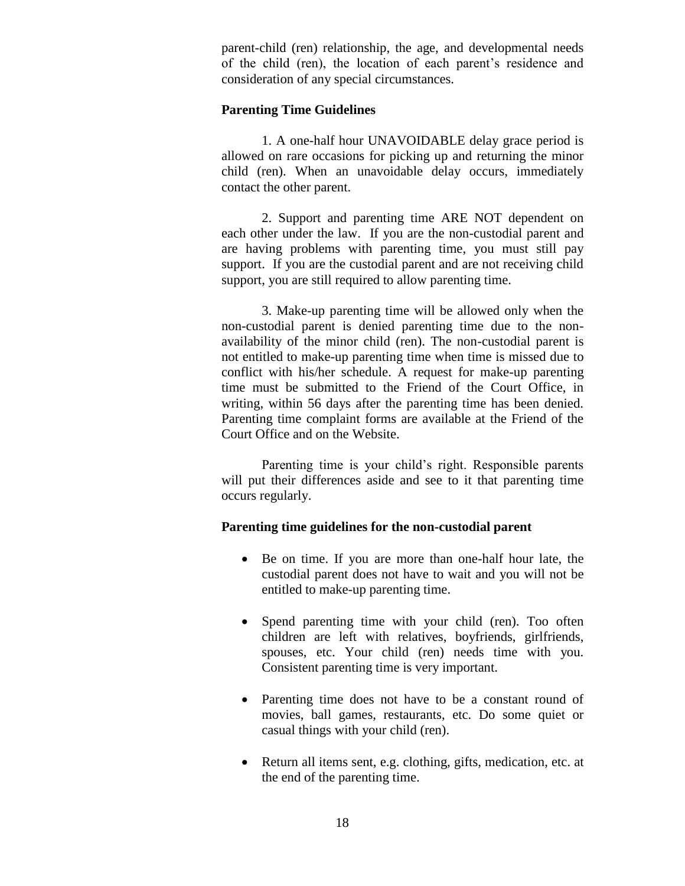parent-child (ren) relationship, the age, and developmental needs of the child (ren), the location of each parent's residence and consideration of any special circumstances.

### **Parenting Time Guidelines**

1. A one-half hour UNAVOIDABLE delay grace period is allowed on rare occasions for picking up and returning the minor child (ren). When an unavoidable delay occurs, immediately contact the other parent.

2. Support and parenting time ARE NOT dependent on each other under the law. If you are the non-custodial parent and are having problems with parenting time, you must still pay support. If you are the custodial parent and are not receiving child support, you are still required to allow parenting time.

3. Make-up parenting time will be allowed only when the non-custodial parent is denied parenting time due to the nonavailability of the minor child (ren). The non-custodial parent is not entitled to make-up parenting time when time is missed due to conflict with his/her schedule. A request for make-up parenting time must be submitted to the Friend of the Court Office, in writing, within 56 days after the parenting time has been denied. Parenting time complaint forms are available at the Friend of the Court Office and on the Website.

Parenting time is your child's right. Responsible parents will put their differences aside and see to it that parenting time occurs regularly.

### **Parenting time guidelines for the non-custodial parent**

- Be on time. If you are more than one-half hour late, the custodial parent does not have to wait and you will not be entitled to make-up parenting time.
- Spend parenting time with your child (ren). Too often children are left with relatives, boyfriends, girlfriends, spouses, etc. Your child (ren) needs time with you. Consistent parenting time is very important.
- Parenting time does not have to be a constant round of movies, ball games, restaurants, etc. Do some quiet or casual things with your child (ren).
- Return all items sent, e.g. clothing, gifts, medication, etc. at the end of the parenting time.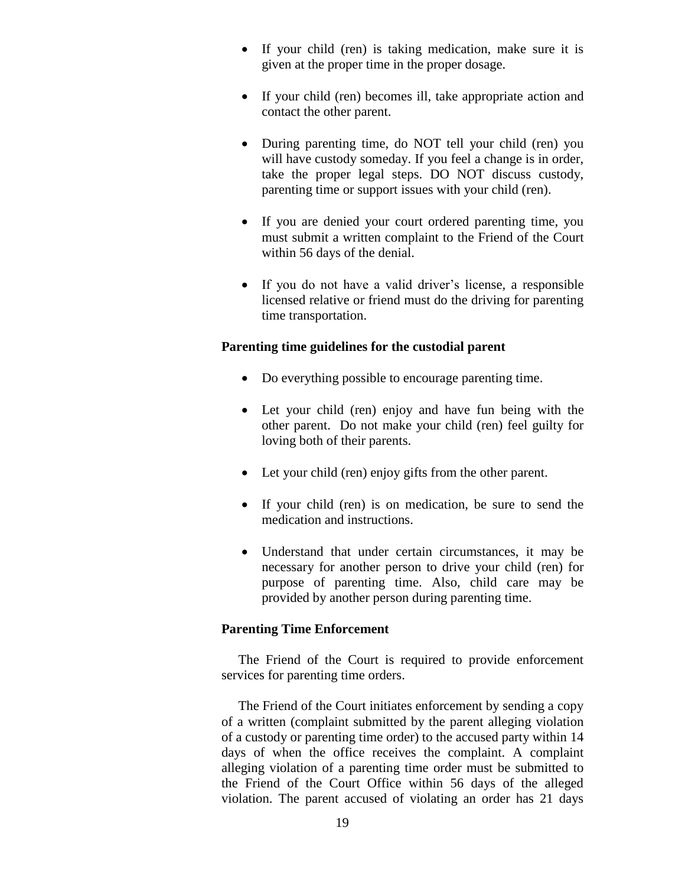- If your child (ren) is taking medication, make sure it is given at the proper time in the proper dosage.
- If your child (ren) becomes ill, take appropriate action and contact the other parent.
- During parenting time, do NOT tell your child (ren) you will have custody someday. If you feel a change is in order, take the proper legal steps. DO NOT discuss custody, parenting time or support issues with your child (ren).
- If you are denied your court ordered parenting time, you must submit a written complaint to the Friend of the Court within 56 days of the denial.
- If you do not have a valid driver's license, a responsible licensed relative or friend must do the driving for parenting time transportation.

### **Parenting time guidelines for the custodial parent**

- Do everything possible to encourage parenting time.
- Let your child (ren) enjoy and have fun being with the other parent. Do not make your child (ren) feel guilty for loving both of their parents.
- Let your child (ren) enjoy gifts from the other parent.
- If your child (ren) is on medication, be sure to send the medication and instructions.
- Understand that under certain circumstances, it may be necessary for another person to drive your child (ren) for purpose of parenting time. Also, child care may be provided by another person during parenting time.

#### **Parenting Time Enforcement**

 The Friend of the Court is required to provide enforcement services for parenting time orders.

 The Friend of the Court initiates enforcement by sending a copy of a written (complaint submitted by the parent alleging violation of a custody or parenting time order) to the accused party within 14 days of when the office receives the complaint. A complaint alleging violation of a parenting time order must be submitted to the Friend of the Court Office within 56 days of the alleged violation. The parent accused of violating an order has 21 days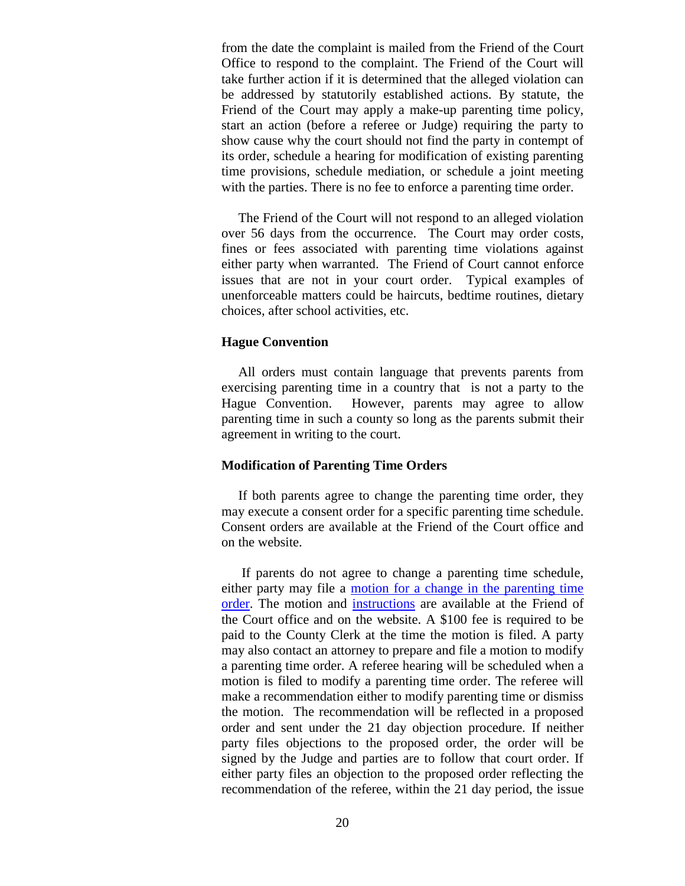from the date the complaint is mailed from the Friend of the Court Office to respond to the complaint. The Friend of the Court will take further action if it is determined that the alleged violation can be addressed by statutorily established actions. By statute, the Friend of the Court may apply a make-up parenting time policy, start an action (before a referee or Judge) requiring the party to show cause why the court should not find the party in contempt of its order, schedule a hearing for modification of existing parenting time provisions, schedule mediation, or schedule a joint meeting with the parties. There is no fee to enforce a parenting time order.

 The Friend of the Court will not respond to an alleged violation over 56 days from the occurrence. The Court may order costs, fines or fees associated with parenting time violations against either party when warranted. The Friend of Court cannot enforce issues that are not in your court order. Typical examples of unenforceable matters could be haircuts, bedtime routines, dietary choices, after school activities, etc.

#### **Hague Convention**

 All orders must contain language that prevents parents from exercising parenting time in a country that is not a party to the Hague Convention. However, parents may agree to allow parenting time in such a county so long as the parents submit their agreement in writing to the court.

#### **Modification of Parenting Time Orders**

 If both parents agree to change the parenting time order, they may execute a consent order for a specific parenting time schedule. Consent orders are available at the Friend of the Court office and on the website.

 If parents do not agree to change a parenting time schedule, either party may file a [motion for a change in the parenting time](http://www.stclaircounty.org/Offices/foc/forms/Motion%20parenting%20time.pdf)  [order.](http://www.stclaircounty.org/Offices/foc/forms/Motion%20parenting%20time.pdf) The motion and [instructions](http://www.stclaircounty.org/Offices/foc/forms/Motion%20instructions%20parenting%20time.pdf) are available at the Friend of the Court office and on the website. A \$100 fee is required to be paid to the County Clerk at the time the motion is filed. A party may also contact an attorney to prepare and file a motion to modify a parenting time order. A referee hearing will be scheduled when a motion is filed to modify a parenting time order. The referee will make a recommendation either to modify parenting time or dismiss the motion. The recommendation will be reflected in a proposed order and sent under the 21 day objection procedure. If neither party files objections to the proposed order, the order will be signed by the Judge and parties are to follow that court order. If either party files an objection to the proposed order reflecting the recommendation of the referee, within the 21 day period, the issue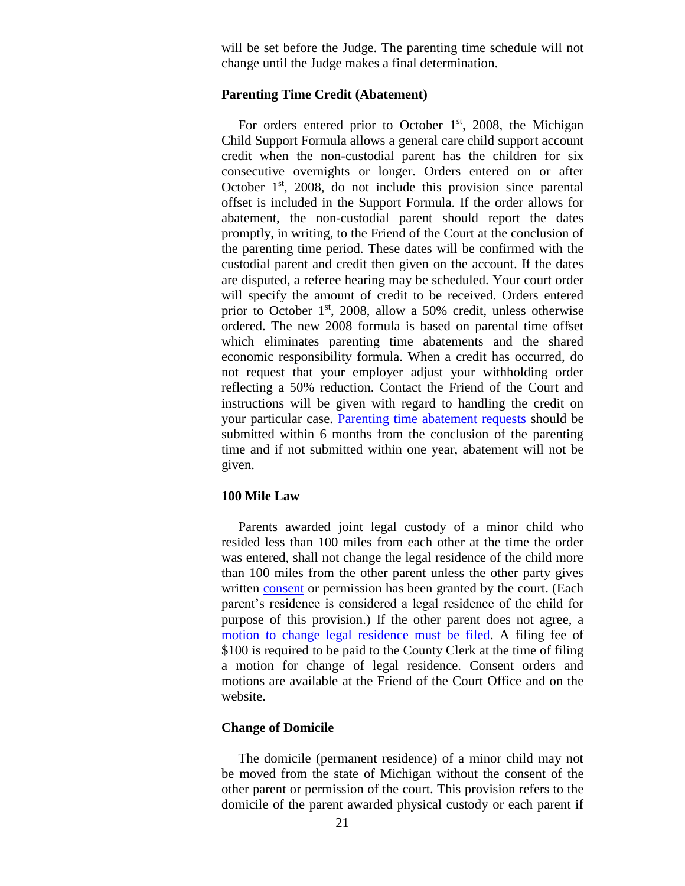will be set before the Judge. The parenting time schedule will not change until the Judge makes a final determination.

#### **Parenting Time Credit (Abatement)**

For orders entered prior to October  $1<sup>st</sup>$ , 2008, the Michigan Child Support Formula allows a general care child support account credit when the non-custodial parent has the children for six consecutive overnights or longer. Orders entered on or after October  $1<sup>st</sup>$ , 2008, do not include this provision since parental offset is included in the Support Formula. If the order allows for abatement, the non-custodial parent should report the dates promptly, in writing, to the Friend of the Court at the conclusion of the parenting time period. These dates will be confirmed with the custodial parent and credit then given on the account. If the dates are disputed, a referee hearing may be scheduled. Your court order will specify the amount of credit to be received. Orders entered prior to October  $1<sup>st</sup>$ , 2008, allow a 50% credit, unless otherwise ordered. The new 2008 formula is based on parental time offset which eliminates parenting time abatements and the shared economic responsibility formula. When a credit has occurred, do not request that your employer adjust your withholding order reflecting a 50% reduction. Contact the Friend of the Court and instructions will be given with regard to handling the credit on your particular case. [Parenting time abatement requests](http://www.stclaircounty.org/Offices/foc/abatement_form.aspx) should be submitted within 6 months from the conclusion of the parenting time and if not submitted within one year, abatement will not be given.

#### **100 Mile Law**

 Parents awarded joint legal custody of a minor child who resided less than 100 miles from each other at the time the order was entered, shall not change the legal residence of the child more than 100 miles from the other parent unless the other party gives written [consent](http://www.stclaircounty.org/Offices/foc/forms/Consent%20order%20change%20of%20legal%20residence-domicile.pdf) or permission has been granted by the court. (Each parent's residence is considered a legal residence of the child for purpose of this provision.) If the other parent does not agree, a [motion to change legal residence must be filed.](http://www.stclaircounty.org/Offices/foc/forms/Motion%20change%20of%20legal%20residence-domicile.pdf) A filing fee of \$100 is required to be paid to the County Clerk at the time of filing a motion for change of legal residence. Consent orders and motions are available at the Friend of the Court Office and on the website.

### **Change of Domicile**

 The domicile (permanent residence) of a minor child may not be moved from the state of Michigan without the consent of the other parent or permission of the court. This provision refers to the domicile of the parent awarded physical custody or each parent if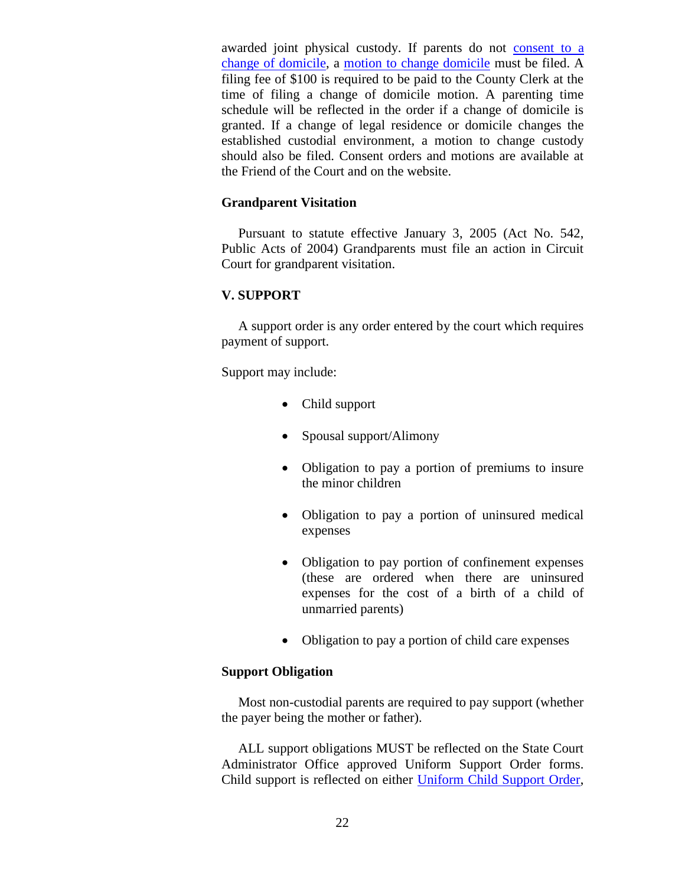awarded joint physical custody. If parents do not consent to a [change of domicile,](http://www.stclaircounty.org/Offices/foc/forms/Consent%20order%20change%20of%20legal%20residence-domicile.pdf) a [motion to change domicile](http://www.stclaircounty.org/Offices/foc/forms/Motion%20change%20of%20legal%20residence-domicile.pdf) must be filed. A filing fee of \$100 is required to be paid to the County Clerk at the time of filing a change of domicile motion. A parenting time schedule will be reflected in the order if a change of domicile is granted. If a change of legal residence or domicile changes the established custodial environment, a motion to change custody should also be filed. Consent orders and motions are available at the Friend of the Court and on the website.

## **Grandparent Visitation**

 Pursuant to statute effective January 3, 2005 (Act No. 542, Public Acts of 2004) Grandparents must file an action in Circuit Court for grandparent visitation.

## **V. SUPPORT**

 A support order is any order entered by the court which requires payment of support.

Support may include:

- Child support
- Spousal support/Alimony
- Obligation to pay a portion of premiums to insure the minor children
- Obligation to pay a portion of uninsured medical expenses
- Obligation to pay portion of confinement expenses (these are ordered when there are uninsured expenses for the cost of a birth of a child of unmarried parents)
- Obligation to pay a portion of child care expenses

## **Support Obligation**

 Most non-custodial parents are required to pay support (whether the payer being the mother or father).

 ALL support obligations MUST be reflected on the State Court Administrator Office approved Uniform Support Order forms. Child support is reflected on either [Uniform Child Support Order,](http://courts.mi.gov/Administration/SCAO/Forms/courtforms/domesticrelations/support/foc10.pdf#search="uniform child support order" )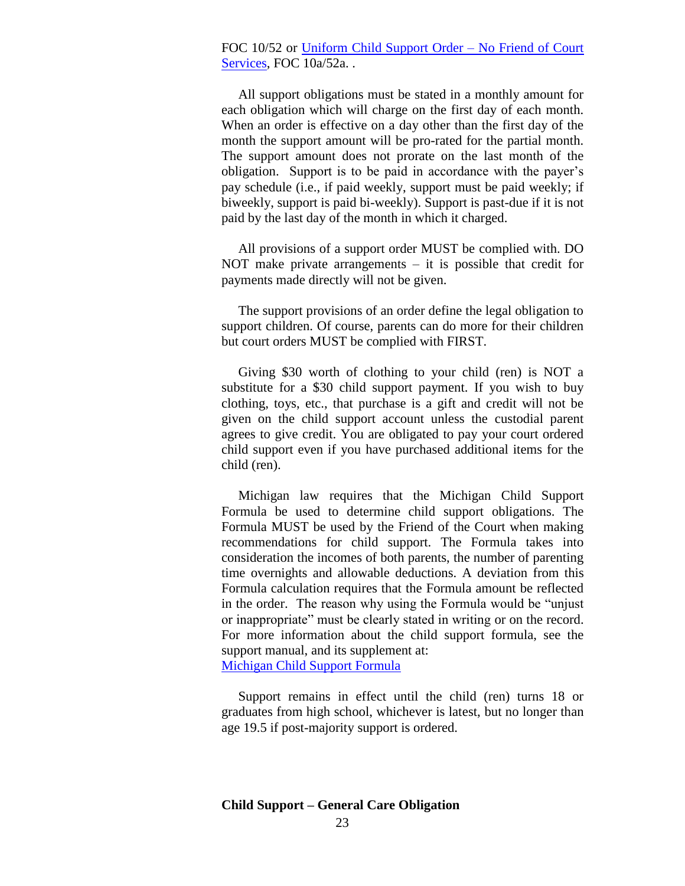## FOC 10/52 or [Uniform Child Support Order –](http://courts.mi.gov/Administration/SCAO/Forms/courtforms/domesticrelations/support/foc10a.pdf#search="uniform child support order no friend of court services" ) No Friend of Court [Services,](http://courts.mi.gov/Administration/SCAO/Forms/courtforms/domesticrelations/support/foc10a.pdf#search="uniform child support order no friend of court services" ) FOC 10a/52a...

 All support obligations must be stated in a monthly amount for each obligation which will charge on the first day of each month. When an order is effective on a day other than the first day of the month the support amount will be pro-rated for the partial month. The support amount does not prorate on the last month of the obligation. Support is to be paid in accordance with the payer's pay schedule (i.e., if paid weekly, support must be paid weekly; if biweekly, support is paid bi-weekly). Support is past-due if it is not paid by the last day of the month in which it charged.

 All provisions of a support order MUST be complied with. DO NOT make private arrangements  $-$  it is possible that credit for payments made directly will not be given.

 The support provisions of an order define the legal obligation to support children. Of course, parents can do more for their children but court orders MUST be complied with FIRST.

 Giving \$30 worth of clothing to your child (ren) is NOT a substitute for a \$30 child support payment. If you wish to buy clothing, toys, etc., that purchase is a gift and credit will not be given on the child support account unless the custodial parent agrees to give credit. You are obligated to pay your court ordered child support even if you have purchased additional items for the child (ren).

 Michigan law requires that the Michigan Child Support Formula be used to determine child support obligations. The Formula MUST be used by the Friend of the Court when making recommendations for child support. The Formula takes into consideration the incomes of both parents, the number of parenting time overnights and allowable deductions. A deviation from this Formula calculation requires that the Formula amount be reflected in the order. The reason why using the Formula would be "unjust or inappropriate" must be clearly stated in writing or on the record. For more information about the child support formula, see the support manual, and its supplement at: [Michigan Child Support Formula](https://www.courts.michigan.gov/siteassets/court-administration/standardsguidelines/foc/child-support-formula-manual-responsive-html5.zip/index.html#t=Child_Support_Formula_Manual%2FChild_Support_Front_Matter%2FChild_Support_Front_Matter.htm)

 Support remains in effect until the child (ren) turns 18 or graduates from high school, whichever is latest, but no longer than age 19.5 if post-majority support is ordered.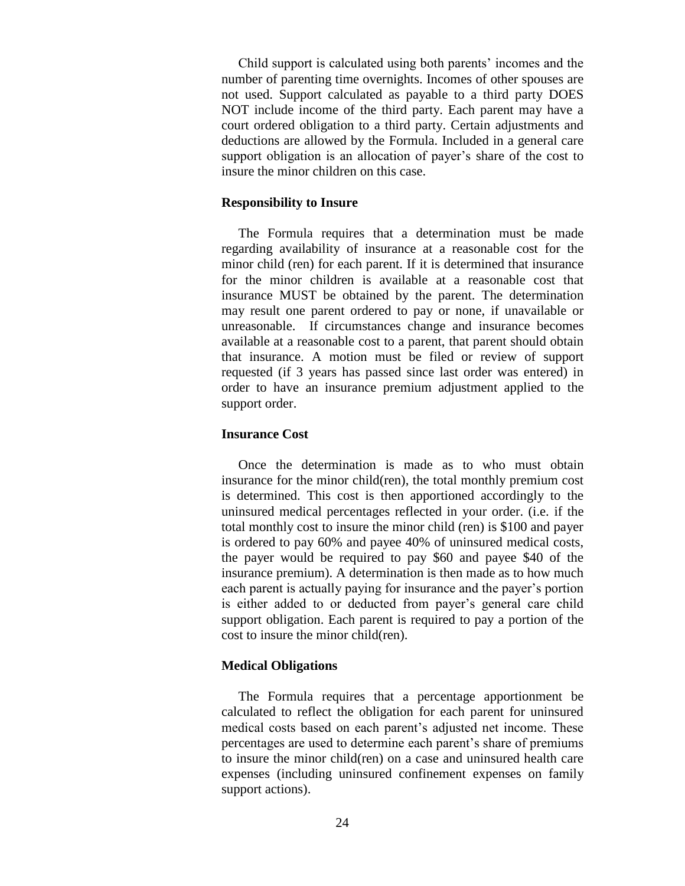Child support is calculated using both parents' incomes and the number of parenting time overnights. Incomes of other spouses are not used. Support calculated as payable to a third party DOES NOT include income of the third party. Each parent may have a court ordered obligation to a third party. Certain adjustments and deductions are allowed by the Formula. Included in a general care support obligation is an allocation of payer's share of the cost to insure the minor children on this case.

#### **Responsibility to Insure**

The Formula requires that a determination must be made regarding availability of insurance at a reasonable cost for the minor child (ren) for each parent. If it is determined that insurance for the minor children is available at a reasonable cost that insurance MUST be obtained by the parent. The determination may result one parent ordered to pay or none, if unavailable or unreasonable. If circumstances change and insurance becomes available at a reasonable cost to a parent, that parent should obtain that insurance. A motion must be filed or review of support requested (if 3 years has passed since last order was entered) in order to have an insurance premium adjustment applied to the support order.

#### **Insurance Cost**

 Once the determination is made as to who must obtain insurance for the minor child(ren), the total monthly premium cost is determined. This cost is then apportioned accordingly to the uninsured medical percentages reflected in your order. (i.e. if the total monthly cost to insure the minor child (ren) is \$100 and payer is ordered to pay 60% and payee 40% of uninsured medical costs, the payer would be required to pay \$60 and payee \$40 of the insurance premium). A determination is then made as to how much each parent is actually paying for insurance and the payer's portion is either added to or deducted from payer's general care child support obligation. Each parent is required to pay a portion of the cost to insure the minor child(ren).

### **Medical Obligations**

 The Formula requires that a percentage apportionment be calculated to reflect the obligation for each parent for uninsured medical costs based on each parent's adjusted net income. These percentages are used to determine each parent's share of premiums to insure the minor child(ren) on a case and uninsured health care expenses (including uninsured confinement expenses on family support actions).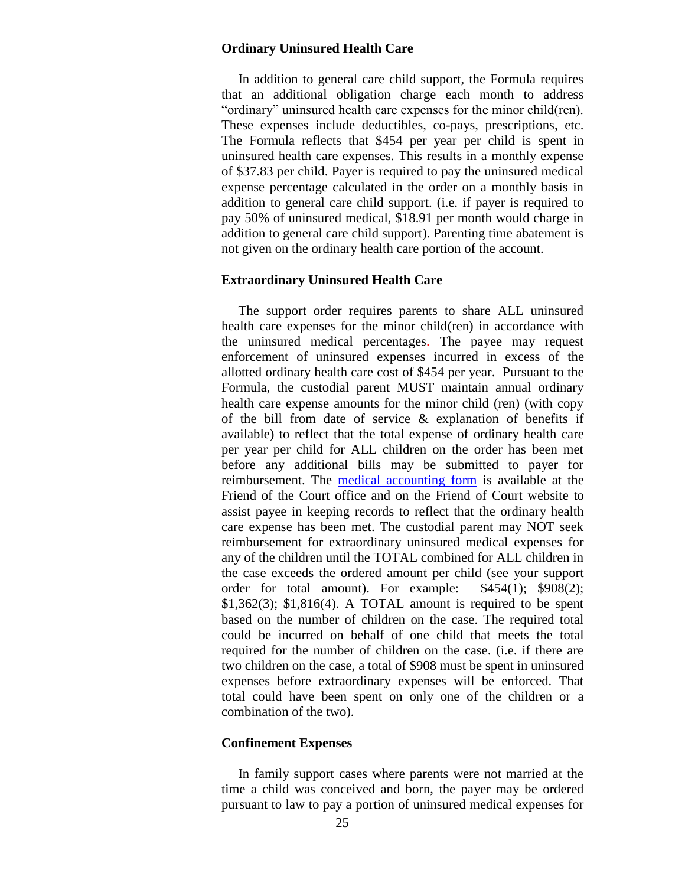#### **Ordinary Uninsured Health Care**

 In addition to general care child support, the Formula requires that an additional obligation charge each month to address "ordinary" uninsured health care expenses for the minor child(ren). These expenses include deductibles, co-pays, prescriptions, etc. The Formula reflects that \$454 per year per child is spent in uninsured health care expenses. This results in a monthly expense of \$37.83 per child. Payer is required to pay the uninsured medical expense percentage calculated in the order on a monthly basis in addition to general care child support. (i.e. if payer is required to pay 50% of uninsured medical, \$18.91 per month would charge in addition to general care child support). Parenting time abatement is not given on the ordinary health care portion of the account.

#### **Extraordinary Uninsured Health Care**

 The support order requires parents to share ALL uninsured health care expenses for the minor child(ren) in accordance with the uninsured medical percentages. The payee may request enforcement of uninsured expenses incurred in excess of the allotted ordinary health care cost of \$454 per year. Pursuant to the Formula, the custodial parent MUST maintain annual ordinary health care expense amounts for the minor child (ren) (with copy of the bill from date of service & explanation of benefits if available) to reflect that the total expense of ordinary health care per year per child for ALL children on the order has been met before any additional bills may be submitted to payer for reimbursement. The [medical accounting form](http://www.stclaircounty.org/Offices/foc/forms/Document%20of%20Ordinary%20Medical%20Expenses.pdf) is available at the Friend of the Court office and on the Friend of Court website to assist payee in keeping records to reflect that the ordinary health care expense has been met. The custodial parent may NOT seek reimbursement for extraordinary uninsured medical expenses for any of the children until the TOTAL combined for ALL children in the case exceeds the ordered amount per child (see your support order for total amount). For example: \$454(1); \$908(2);  $$1,362(3)$ ;  $$1,816(4)$ . A TOTAL amount is required to be spent based on the number of children on the case. The required total could be incurred on behalf of one child that meets the total required for the number of children on the case. (i.e. if there are two children on the case, a total of \$908 must be spent in uninsured expenses before extraordinary expenses will be enforced. That total could have been spent on only one of the children or a combination of the two).

#### **Confinement Expenses**

In family support cases where parents were not married at the time a child was conceived and born, the payer may be ordered pursuant to law to pay a portion of uninsured medical expenses for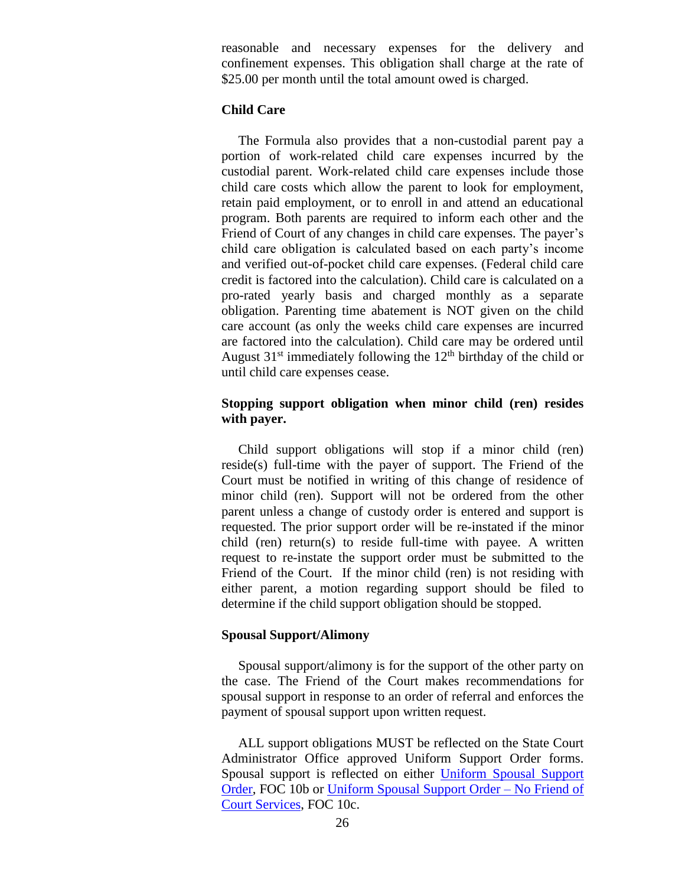reasonable and necessary expenses for the delivery and confinement expenses. This obligation shall charge at the rate of \$25.00 per month until the total amount owed is charged.

## **Child Care**

The Formula also provides that a non-custodial parent pay a portion of work-related child care expenses incurred by the custodial parent. Work-related child care expenses include those child care costs which allow the parent to look for employment, retain paid employment, or to enroll in and attend an educational program. Both parents are required to inform each other and the Friend of Court of any changes in child care expenses. The payer's child care obligation is calculated based on each party's income and verified out-of-pocket child care expenses. (Federal child care credit is factored into the calculation). Child care is calculated on a pro-rated yearly basis and charged monthly as a separate obligation. Parenting time abatement is NOT given on the child care account (as only the weeks child care expenses are incurred are factored into the calculation). Child care may be ordered until August  $31<sup>st</sup>$  immediately following the  $12<sup>th</sup>$  birthday of the child or until child care expenses cease.

### **Stopping support obligation when minor child (ren) resides with payer.**

 Child support obligations will stop if a minor child (ren) reside(s) full-time with the payer of support. The Friend of the Court must be notified in writing of this change of residence of minor child (ren). Support will not be ordered from the other parent unless a change of custody order is entered and support is requested. The prior support order will be re-instated if the minor child (ren) return(s) to reside full-time with payee. A written request to re-instate the support order must be submitted to the Friend of the Court. If the minor child (ren) is not residing with either parent, a motion regarding support should be filed to determine if the child support obligation should be stopped.

#### **Spousal Support/Alimony**

Spousal support/alimony is for the support of the other party on the case. The Friend of the Court makes recommendations for spousal support in response to an order of referral and enforces the payment of spousal support upon written request.

 ALL support obligations MUST be reflected on the State Court Administrator Office approved Uniform Support Order forms. Spousal support is reflected on either [Uniform Spousal Support](http://courts.mi.gov/Administration/SCAO/Forms/courtforms/domesticrelations/support/foc10b.pdf#search="uniform spousal support order" )  [Order,](http://courts.mi.gov/Administration/SCAO/Forms/courtforms/domesticrelations/support/foc10b.pdf#search="uniform spousal support order" ) FOC 10b or [Uniform Spousal Support Order –](http://courts.mi.gov/Administration/SCAO/Forms/courtforms/domesticrelations/support/foc10c.pdf#search="uniform spousal support order no friend of court services" ) No Friend of [Court Services,](http://courts.mi.gov/Administration/SCAO/Forms/courtforms/domesticrelations/support/foc10c.pdf#search="uniform spousal support order no friend of court services" ) FOC 10c.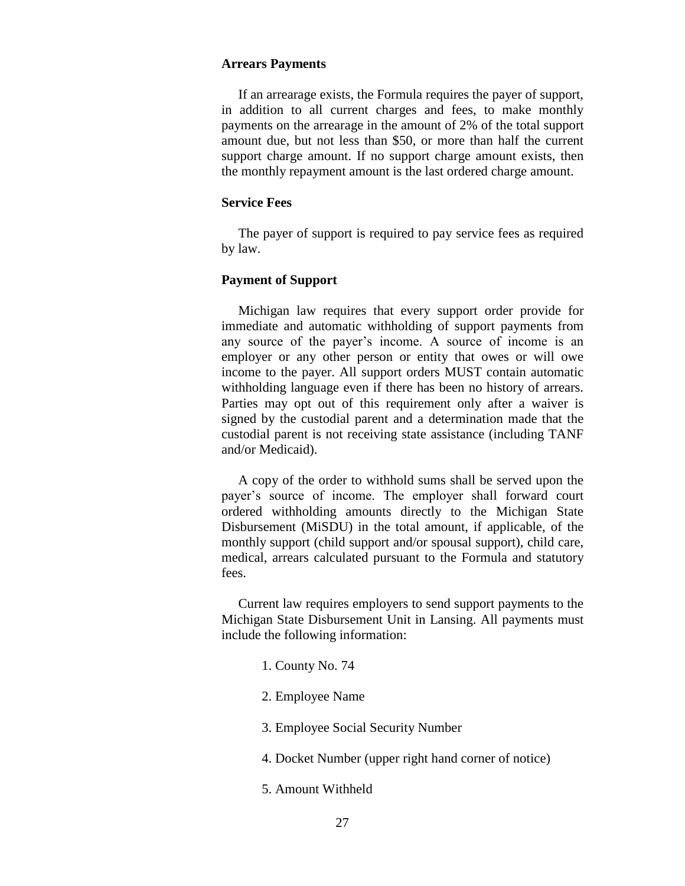#### **Arrears Payments**

 If an arrearage exists, the Formula requires the payer of support, in addition to all current charges and fees, to make monthly payments on the arrearage in the amount of 2% of the total support amount due, but not less than \$50, or more than half the current support charge amount. If no support charge amount exists, then the monthly repayment amount is the last ordered charge amount.

### **Service Fees**

 The payer of support is required to pay service fees as required by law.

### **Payment of Support**

Michigan law requires that every support order provide for immediate and automatic withholding of support payments from any source of the payer's income. A source of income is an employer or any other person or entity that owes or will owe income to the payer. All support orders MUST contain automatic withholding language even if there has been no history of arrears. Parties may opt out of this requirement only after a waiver is signed by the custodial parent and a determination made that the custodial parent is not receiving state assistance (including TANF and/or Medicaid).

 A copy of the order to withhold sums shall be served upon the payer's source of income. The employer shall forward court ordered withholding amounts directly to the Michigan State Disbursement (MiSDU) in the total amount, if applicable, of the monthly support (child support and/or spousal support), child care, medical, arrears calculated pursuant to the Formula and statutory fees.

 Current law requires employers to send support payments to the Michigan State Disbursement Unit in Lansing. All payments must include the following information:

- 1. County No. 74
- 2. Employee Name
- 3. Employee Social Security Number
- 4. Docket Number (upper right hand corner of notice)
- 5. Amount Withheld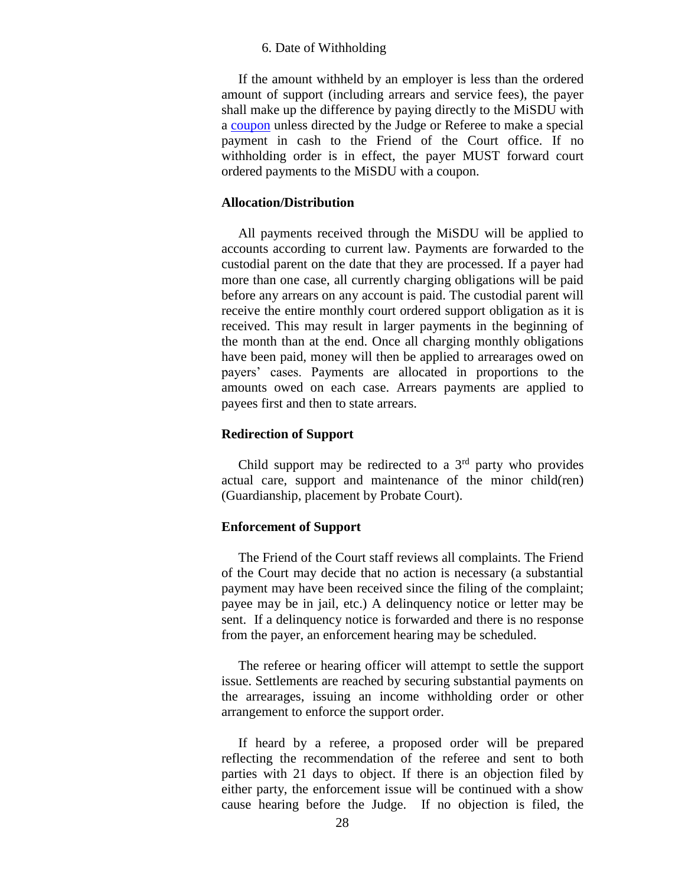#### 6. Date of Withholding

 If the amount withheld by an employer is less than the ordered amount of support (including arrears and service fees), the payer shall make up the difference by paying directly to the MiSDU with a [coupon](http://www.stclaircounty.org/Offices/foc/forms/Temporary%20Payment%20Coupons.pdf) unless directed by the Judge or Referee to make a special payment in cash to the Friend of the Court office. If no withholding order is in effect, the payer MUST forward court ordered payments to the MiSDU with a coupon.

### **Allocation/Distribution**

All payments received through the MiSDU will be applied to accounts according to current law. Payments are forwarded to the custodial parent on the date that they are processed. If a payer had more than one case, all currently charging obligations will be paid before any arrears on any account is paid. The custodial parent will receive the entire monthly court ordered support obligation as it is received. This may result in larger payments in the beginning of the month than at the end. Once all charging monthly obligations have been paid, money will then be applied to arrearages owed on payers' cases. Payments are allocated in proportions to the amounts owed on each case. Arrears payments are applied to payees first and then to state arrears.

#### **Redirection of Support**

Child support may be redirected to a 3rd party who provides actual care, support and maintenance of the minor child(ren) (Guardianship, placement by Probate Court).

#### **Enforcement of Support**

 The Friend of the Court staff reviews all complaints. The Friend of the Court may decide that no action is necessary (a substantial payment may have been received since the filing of the complaint; payee may be in jail, etc.) A delinquency notice or letter may be sent. If a delinquency notice is forwarded and there is no response from the payer, an enforcement hearing may be scheduled.

 The referee or hearing officer will attempt to settle the support issue. Settlements are reached by securing substantial payments on the arrearages, issuing an income withholding order or other arrangement to enforce the support order.

 If heard by a referee, a proposed order will be prepared reflecting the recommendation of the referee and sent to both parties with 21 days to object. If there is an objection filed by either party, the enforcement issue will be continued with a show cause hearing before the Judge. If no objection is filed, the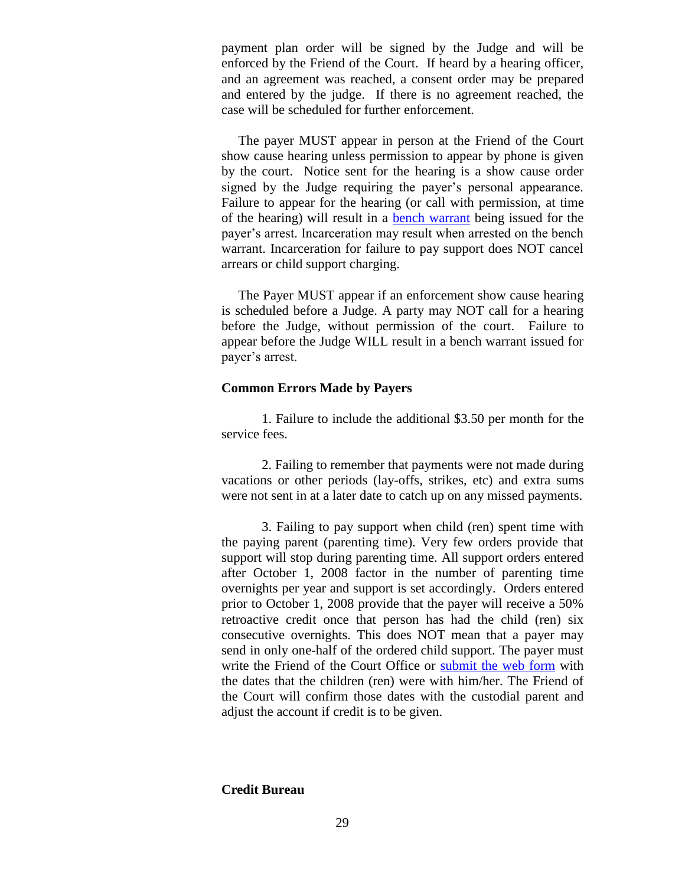payment plan order will be signed by the Judge and will be enforced by the Friend of the Court. If heard by a hearing officer, and an agreement was reached, a consent order may be prepared and entered by the judge. If there is no agreement reached, the case will be scheduled for further enforcement.

 The payer MUST appear in person at the Friend of the Court show cause hearing unless permission to appear by phone is given by the court. Notice sent for the hearing is a show cause order signed by the Judge requiring the payer's personal appearance. Failure to appear for the hearing (or call with permission, at time of the hearing) will result in a [bench warrant](http://www.stclaircounty.org/Offices/foc/bench_warrants.aspx) being issued for the payer's arrest. Incarceration may result when arrested on the bench warrant. Incarceration for failure to pay support does NOT cancel arrears or child support charging.

 The Payer MUST appear if an enforcement show cause hearing is scheduled before a Judge. A party may NOT call for a hearing before the Judge, without permission of the court. Failure to appear before the Judge WILL result in a bench warrant issued for payer's arrest.

### **Common Errors Made by Payers**

1. Failure to include the additional \$3.50 per month for the service fees.

2. Failing to remember that payments were not made during vacations or other periods (lay-offs, strikes, etc) and extra sums were not sent in at a later date to catch up on any missed payments.

3. Failing to pay support when child (ren) spent time with the paying parent (parenting time). Very few orders provide that support will stop during parenting time. All support orders entered after October 1, 2008 factor in the number of parenting time overnights per year and support is set accordingly. Orders entered prior to October 1, 2008 provide that the payer will receive a 50% retroactive credit once that person has had the child (ren) six consecutive overnights. This does NOT mean that a payer may send in only one-half of the ordered child support. The payer must write the Friend of the Court Office or [submit the web form](https://www.stclaircounty.org/Offices/foc/abatement_form.aspx) with the dates that the children (ren) were with him/her. The Friend of the Court will confirm those dates with the custodial parent and adjust the account if credit is to be given.

#### **Credit Bureau**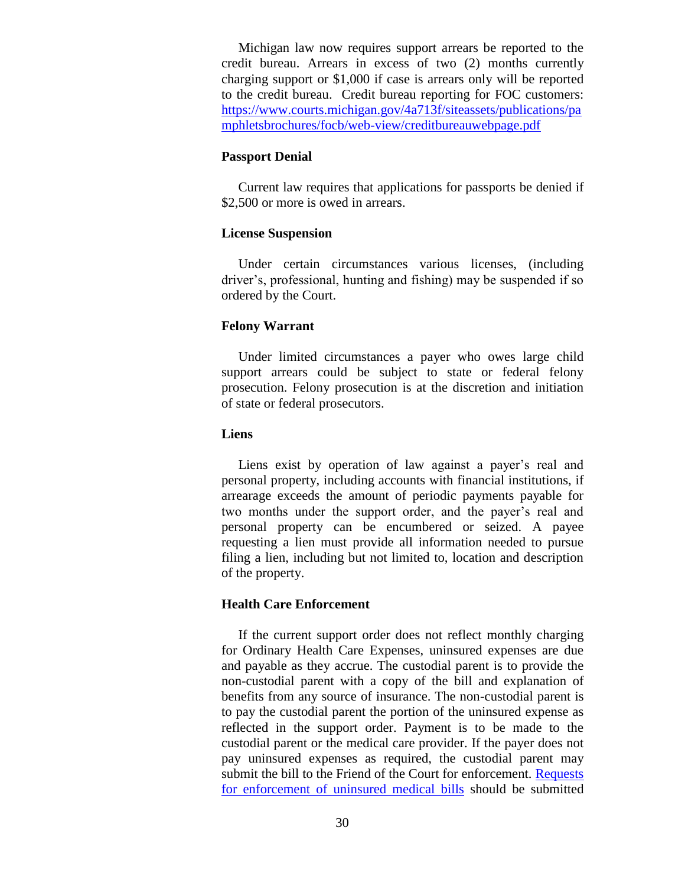Michigan law now requires support arrears be reported to the credit bureau. Arrears in excess of two (2) months currently charging support or \$1,000 if case is arrears only will be reported to the credit bureau. Credit bureau reporting for FOC customers: [https://www.courts.michigan.gov/4a713f/siteassets/publications/pa](https://www.courts.michigan.gov/4a713f/siteassets/publications/pamphletsbrochures/focb/web-view/creditbureauwebpage.pdf) [mphletsbrochures/focb/web-view/creditbureauwebpage.pdf](https://www.courts.michigan.gov/4a713f/siteassets/publications/pamphletsbrochures/focb/web-view/creditbureauwebpage.pdf)

#### **Passport Denial**

 Current law requires that applications for passports be denied if \$2,500 or more is owed in arrears.

### **License Suspension**

 Under certain circumstances various licenses, (including driver's, professional, hunting and fishing) may be suspended if so ordered by the Court.

### **Felony Warrant**

Under limited circumstances a payer who owes large child support arrears could be subject to state or federal felony prosecution. Felony prosecution is at the discretion and initiation of state or federal prosecutors.

#### **Liens**

 Liens exist by operation of law against a payer's real and personal property, including accounts with financial institutions, if arrearage exceeds the amount of periodic payments payable for two months under the support order, and the payer's real and personal property can be encumbered or seized. A payee requesting a lien must provide all information needed to pursue filing a lien, including but not limited to, location and description of the property.

## **Health Care Enforcement**

If the current support order does not reflect monthly charging for Ordinary Health Care Expenses, uninsured expenses are due and payable as they accrue. The custodial parent is to provide the non-custodial parent with a copy of the bill and explanation of benefits from any source of insurance. The non-custodial parent is to pay the custodial parent the portion of the uninsured expense as reflected in the support order. Payment is to be made to the custodial parent or the medical care provider. If the payer does not pay uninsured expenses as required, the custodial parent may submit the bill to the Friend of the Court for enforcement. [Requests](http://www.stclaircounty.org/Offices/foc/Demand_medical.aspx)  [for enforcement of uninsured medical bills](http://www.stclaircounty.org/Offices/foc/Demand_medical.aspx) should be submitted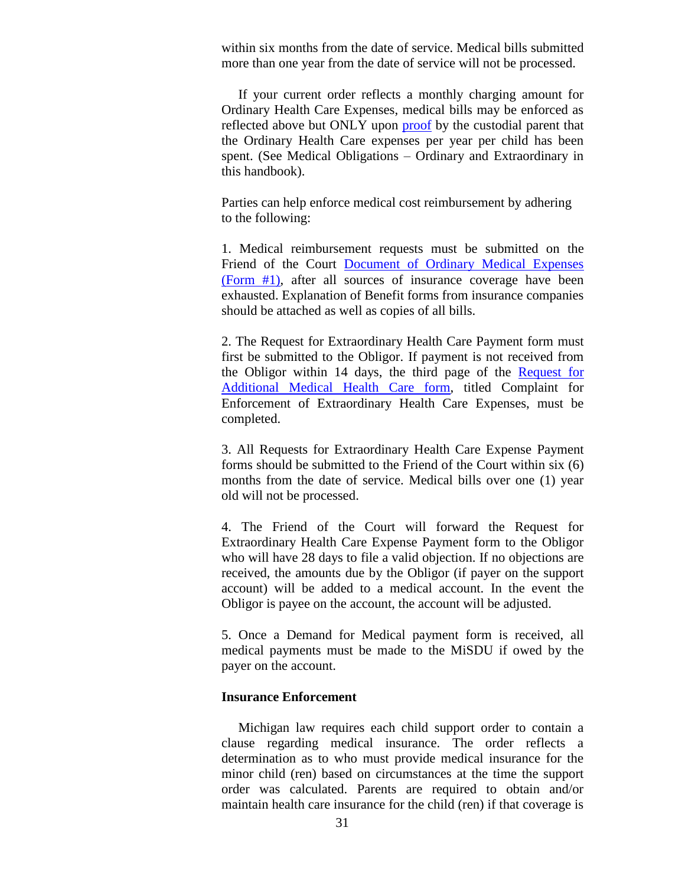within six months from the date of service. Medical bills submitted more than one year from the date of service will not be processed.

 If your current order reflects a monthly charging amount for Ordinary Health Care Expenses, medical bills may be enforced as reflected above but ONLY upon [proof](http://www.stclaircounty.org/Offices/foc/forms/Document%20of%20Ordinary%20Medical%20Expenses.pdf) by the custodial parent that the Ordinary Health Care expenses per year per child has been spent. (See Medical Obligations – Ordinary and Extraordinary in this handbook).

Parties can help enforce medical cost reimbursement by adhering to the following:

1. Medical reimbursement requests must be submitted on the Friend of the Court [Document of Ordinary Medical Expenses](http://www.stclaircounty.org/Offices/foc/medical_forms.aspx) [\(Form #1\),](http://www.stclaircounty.org/Offices/foc/medical_forms.aspx) after all sources of insurance coverage have been exhausted. Explanation of Benefit forms from insurance companies should be attached as well as copies of all bills.

2. The Request for Extraordinary Health Care Payment form must first be submitted to the Obligor. If payment is not received from the Obligor within 14 days, the third page of the Request for [Additional Medical Health](http://www.stclaircounty.org/Offices/foc/medical_forms.aspx) Care form, titled Complaint for Enforcement of Extraordinary Health Care Expenses, must be completed.

3. All Requests for Extraordinary Health Care Expense Payment forms should be submitted to the Friend of the Court within six (6) months from the date of service. Medical bills over one (1) year old will not be processed.

4. The Friend of the Court will forward the Request for Extraordinary Health Care Expense Payment form to the Obligor who will have 28 days to file a valid objection. If no objections are received, the amounts due by the Obligor (if payer on the support account) will be added to a medical account. In the event the Obligor is payee on the account, the account will be adjusted.

5. Once a Demand for Medical payment form is received, all medical payments must be made to the MiSDU if owed by the payer on the account.

#### **Insurance Enforcement**

 Michigan law requires each child support order to contain a clause regarding medical insurance. The order reflects a determination as to who must provide medical insurance for the minor child (ren) based on circumstances at the time the support order was calculated. Parents are required to obtain and/or maintain health care insurance for the child (ren) if that coverage is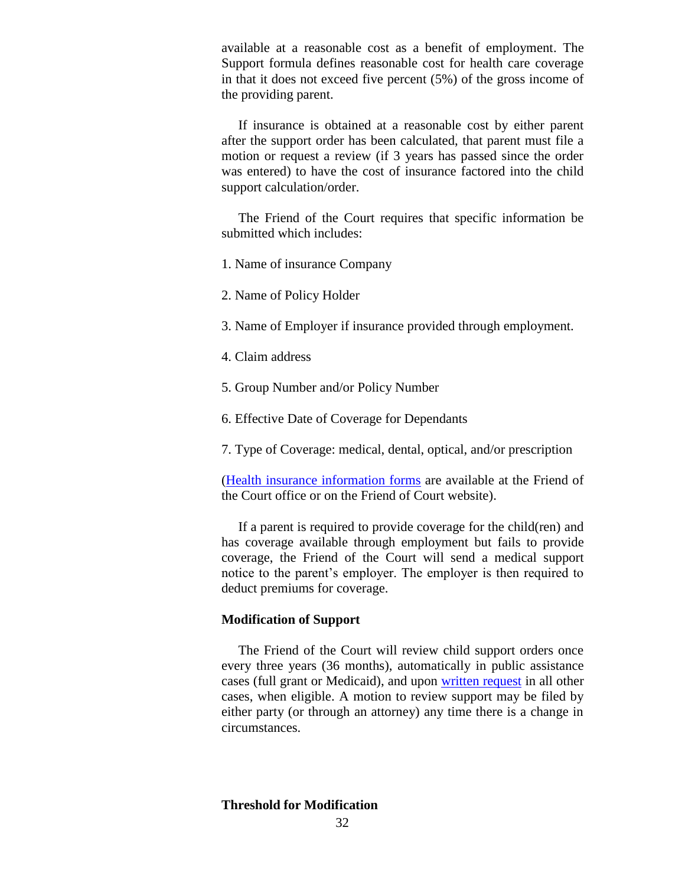available at a reasonable cost as a benefit of employment. The Support formula defines reasonable cost for health care coverage in that it does not exceed five percent (5%) of the gross income of the providing parent.

 If insurance is obtained at a reasonable cost by either parent after the support order has been calculated, that parent must file a motion or request a review (if 3 years has passed since the order was entered) to have the cost of insurance factored into the child support calculation/order.

 The Friend of the Court requires that specific information be submitted which includes:

1. Name of insurance Company

2. Name of Policy Holder

3. Name of Employer if insurance provided through employment.

4. Claim address

5. Group Number and/or Policy Number

6. Effective Date of Coverage for Dependants

7. Type of Coverage: medical, dental, optical, and/or prescription

[\(Health insurance information forms](http://www.stclaircounty.org/Offices/foc/forms/Health_Insurance_Info_Form.pdf) are available at the Friend of the Court office or on the Friend of Court website).

 If a parent is required to provide coverage for the child(ren) and has coverage available through employment but fails to provide coverage, the Friend of the Court will send a medical support notice to the parent's employer. The employer is then required to deduct premiums for coverage.

### **Modification of Support**

 The Friend of the Court will review child support orders once every three years (36 months), automatically in public assistance cases (full grant or Medicaid), and upon [written request](http://www.stclaircounty.org/Offices/foc/forms/Support%20Complaint%20or%20Review%20Request%20Form.pdf) in all other cases, when eligible. A motion to review support may be filed by either party (or through an attorney) any time there is a change in circumstances.

**Threshold for Modification**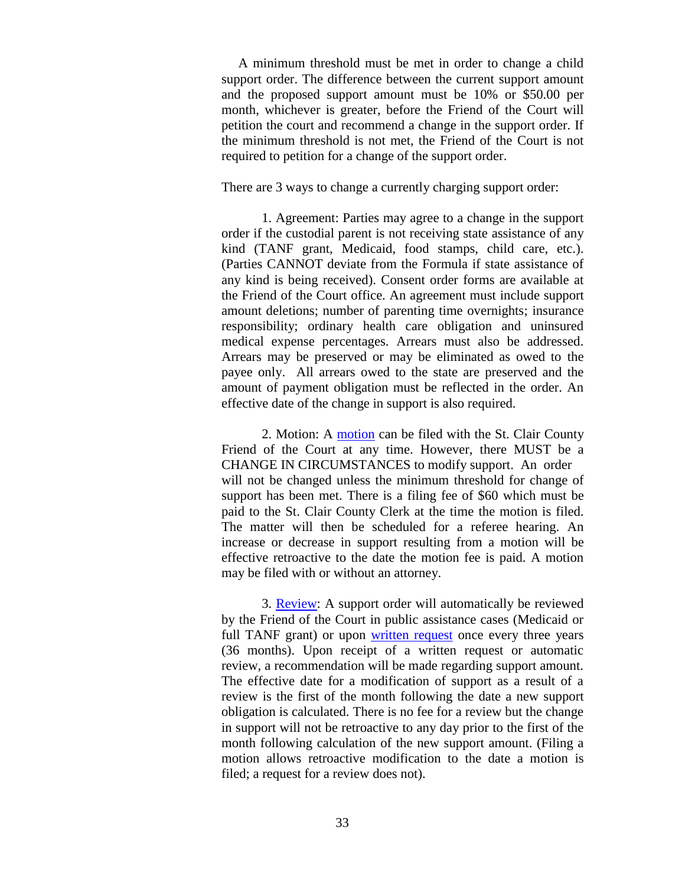A minimum threshold must be met in order to change a child support order. The difference between the current support amount and the proposed support amount must be 10% or \$50.00 per month, whichever is greater, before the Friend of the Court will petition the court and recommend a change in the support order. If the minimum threshold is not met, the Friend of the Court is not required to petition for a change of the support order.

There are 3 ways to change a currently charging support order:

1. Agreement: Parties may agree to a change in the support order if the custodial parent is not receiving state assistance of any kind (TANF grant, Medicaid, food stamps, child care, etc.). (Parties CANNOT deviate from the Formula if state assistance of any kind is being received). Consent order forms are available at the Friend of the Court office. An agreement must include support amount deletions; number of parenting time overnights; insurance responsibility; ordinary health care obligation and uninsured medical expense percentages. Arrears must also be addressed. Arrears may be preserved or may be eliminated as owed to the payee only. All arrears owed to the state are preserved and the amount of payment obligation must be reflected in the order. An effective date of the change in support is also required.

2. Motion: A [motion](http://www.stclaircounty.org/Offices/foc/forms/Motion%20Regarding%20Support.pdf) can be filed with the St. Clair County Friend of the Court at any time. However, there MUST be a CHANGE IN CIRCUMSTANCES to modify support. An order will not be changed unless the minimum threshold for change of support has been met. There is a filing fee of \$60 which must be paid to the St. Clair County Clerk at the time the motion is filed. The matter will then be scheduled for a referee hearing. An increase or decrease in support resulting from a motion will be effective retroactive to the date the motion fee is paid. A motion may be filed with or without an attorney.

3. [Review:](http://www.stclaircounty.org/Offices/foc/forms/Request%20for%20Review%20Fact%20Sheet.pdf) A support order will automatically be reviewed by the Friend of the Court in public assistance cases (Medicaid or full TANF grant) or upon [written request](http://www.stclaircounty.org/Offices/foc/forms/Support%20Complaint%20or%20Review%20Request%20Form.pdf) once every three years (36 months). Upon receipt of a written request or automatic review, a recommendation will be made regarding support amount. The effective date for a modification of support as a result of a review is the first of the month following the date a new support obligation is calculated. There is no fee for a review but the change in support will not be retroactive to any day prior to the first of the month following calculation of the new support amount. (Filing a motion allows retroactive modification to the date a motion is filed; a request for a review does not).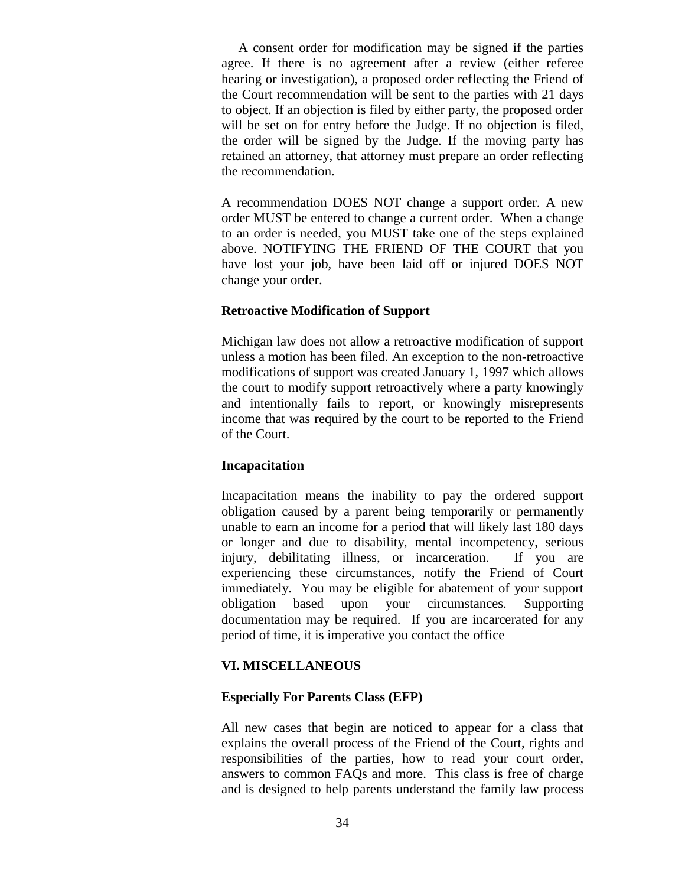A consent order for modification may be signed if the parties agree. If there is no agreement after a review (either referee hearing or investigation), a proposed order reflecting the Friend of the Court recommendation will be sent to the parties with 21 days to object. If an objection is filed by either party, the proposed order will be set on for entry before the Judge. If no objection is filed, the order will be signed by the Judge. If the moving party has retained an attorney, that attorney must prepare an order reflecting the recommendation.

A recommendation DOES NOT change a support order. A new order MUST be entered to change a current order. When a change to an order is needed, you MUST take one of the steps explained above. NOTIFYING THE FRIEND OF THE COURT that you have lost your job, have been laid off or injured DOES NOT change your order.

### **Retroactive Modification of Support**

Michigan law does not allow a retroactive modification of support unless a motion has been filed. An exception to the non-retroactive modifications of support was created January 1, 1997 which allows the court to modify support retroactively where a party knowingly and intentionally fails to report, or knowingly misrepresents income that was required by the court to be reported to the Friend of the Court.

### **Incapacitation**

Incapacitation means the inability to pay the ordered support obligation caused by a parent being temporarily or permanently unable to earn an income for a period that will likely last 180 days or longer and due to disability, mental incompetency, serious injury, debilitating illness, or incarceration. If you are experiencing these circumstances, notify the Friend of Court immediately. You may be eligible for abatement of your support obligation based upon your circumstances. Supporting documentation may be required. If you are incarcerated for any period of time, it is imperative you contact the office

## **VI. MISCELLANEOUS**

## **Especially For Parents Class (EFP)**

All new cases that begin are noticed to appear for a class that explains the overall process of the Friend of the Court, rights and responsibilities of the parties, how to read your court order, answers to common FAQs and more. This class is free of charge and is designed to help parents understand the family law process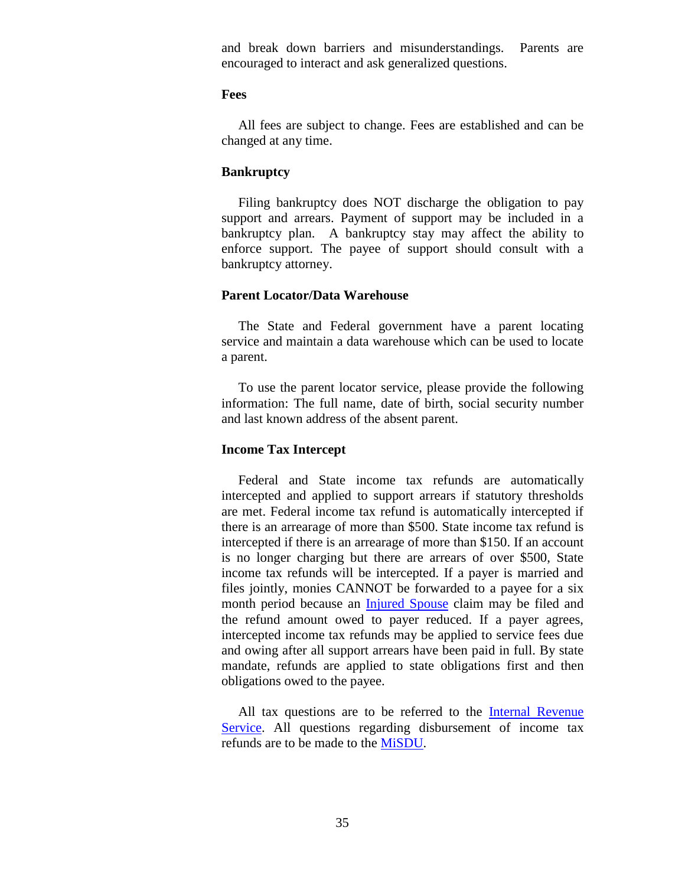and break down barriers and misunderstandings. Parents are encouraged to interact and ask generalized questions.

#### **Fees**

 All fees are subject to change. Fees are established and can be changed at any time.

### **Bankruptcy**

 Filing bankruptcy does NOT discharge the obligation to pay support and arrears. Payment of support may be included in a bankruptcy plan. A bankruptcy stay may affect the ability to enforce support. The payee of support should consult with a bankruptcy attorney.

#### **Parent Locator/Data Warehouse**

The State and Federal government have a parent locating service and maintain a data warehouse which can be used to locate a parent.

 To use the parent locator service, please provide the following information: The full name, date of birth, social security number and last known address of the absent parent.

### **Income Tax Intercept**

 Federal and State income tax refunds are automatically intercepted and applied to support arrears if statutory thresholds are met. Federal income tax refund is automatically intercepted if there is an arrearage of more than \$500. State income tax refund is intercepted if there is an arrearage of more than \$150. If an account is no longer charging but there are arrears of over \$500, State income tax refunds will be intercepted. If a payer is married and files jointly, monies CANNOT be forwarded to a payee for a six month period because an [Injured Spouse](http://www.irs.gov/pub/irs-pdf/f8379.pdf) claim may be filed and the refund amount owed to payer reduced. If a payer agrees, intercepted income tax refunds may be applied to service fees due and owing after all support arrears have been paid in full. By state mandate, refunds are applied to state obligations first and then obligations owed to the payee.

All tax questions are to be referred to the Internal Revenue [Service.](http://www.irs.gov/) All questions regarding disbursement of income tax refunds are to be made to the [MiSDU.](https://www.misdu.com/home)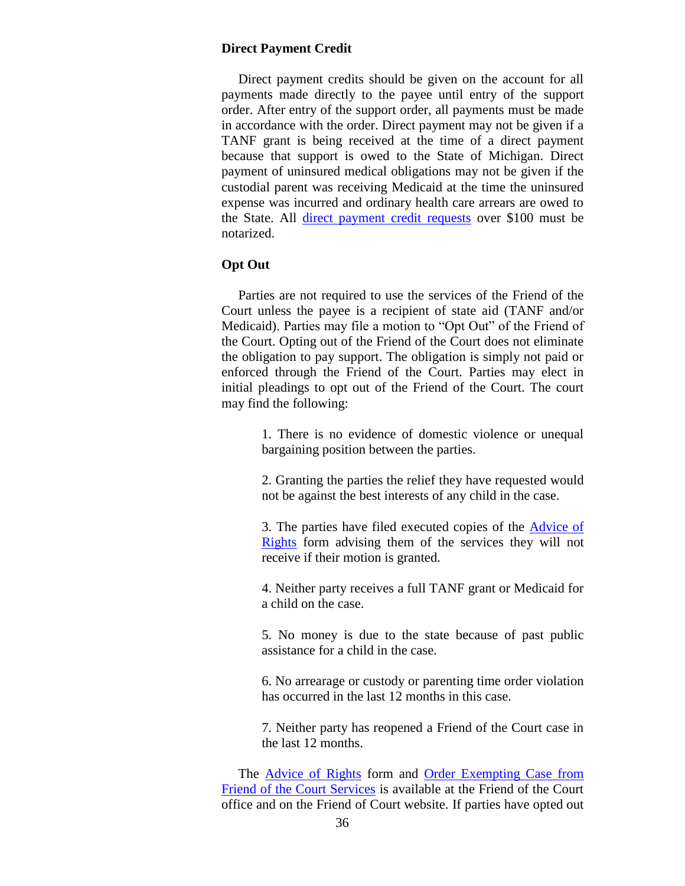#### **Direct Payment Credit**

 Direct payment credits should be given on the account for all payments made directly to the payee until entry of the support order. After entry of the support order, all payments must be made in accordance with the order. Direct payment may not be given if a TANF grant is being received at the time of a direct payment because that support is owed to the State of Michigan. Direct payment of uninsured medical obligations may not be given if the custodial parent was receiving Medicaid at the time the uninsured expense was incurred and ordinary health care arrears are owed to the State. All [direct payment credit requests](http://www.stclaircounty.org/Offices/foc/forms/Direct%20Payment%20Credit%20Form.pdf) over \$100 must be notarized.

### **Opt Out**

 Parties are not required to use the services of the Friend of the Court unless the payee is a recipient of state aid (TANF and/or Medicaid). Parties may file a motion to "Opt Out" of the Friend of the Court. Opting out of the Friend of the Court does not eliminate the obligation to pay support. The obligation is simply not paid or enforced through the Friend of the Court. Parties may elect in initial pleadings to opt out of the Friend of the Court. The court may find the following:

> 1. There is no evidence of domestic violence or unequal bargaining position between the parties.

> 2. Granting the parties the relief they have requested would not be against the best interests of any child in the case.

> 3. The parties have filed executed copies of the [Advice of](http://www.stclaircounty.org/Offices/foc/forms/Advice%20of%20Rights.pdf)  [Rights](http://www.stclaircounty.org/Offices/foc/forms/Advice%20of%20Rights.pdf) form advising them of the services they will not receive if their motion is granted.

> 4. Neither party receives a full TANF grant or Medicaid for a child on the case.

> 5. No money is due to the state because of past public assistance for a child in the case.

> 6. No arrearage or custody or parenting time order violation has occurred in the last 12 months in this case.

> 7. Neither party has reopened a Friend of the Court case in the last 12 months.

 The [Advice of Rights](http://www.stclaircounty.org/Offices/foc/forms/Advice%20of%20Rights.pdf) form and [Order Exempting Case from](http://courts.mi.gov/Administration/SCAO/Forms/courtforms/domesticrelations/generalfoc/foc102.pdf#search="order exempting case from friend of court services" )  [Friend of the Court Services](http://courts.mi.gov/Administration/SCAO/Forms/courtforms/domesticrelations/generalfoc/foc102.pdf#search="order exempting case from friend of court services" ) is available at the Friend of the Court office and on the Friend of Court website. If parties have opted out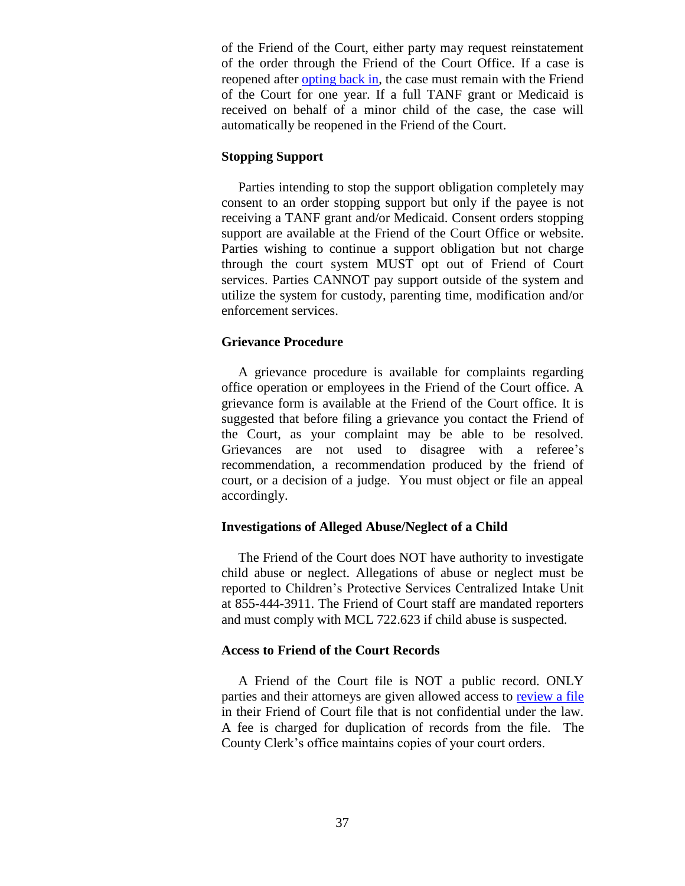of the Friend of the Court, either party may request reinstatement of the order through the Friend of the Court Office. If a case is reopened after [opting back in,](http://courts.mi.gov/Administration/SCAO/Forms/courtforms/domesticrelations/generalfoc/foc104.pdf#search="REQUEST TO REOPEN FRIEND OF THE COURT CASE") the case must remain with the Friend of the Court for one year. If a full TANF grant or Medicaid is received on behalf of a minor child of the case, the case will automatically be reopened in the Friend of the Court.

### **Stopping Support**

 Parties intending to stop the support obligation completely may consent to an order stopping support but only if the payee is not receiving a TANF grant and/or Medicaid. Consent orders stopping support are available at the Friend of the Court Office or website. Parties wishing to continue a support obligation but not charge through the court system MUST opt out of Friend of Court services. Parties CANNOT pay support outside of the system and utilize the system for custody, parenting time, modification and/or enforcement services.

### **Grievance Procedure**

 A grievance procedure is available for complaints regarding office operation or employees in the Friend of the Court office. A grievance form is available at the Friend of the Court office. It is suggested that before filing a grievance you contact the Friend of the Court, as your complaint may be able to be resolved. Grievances are not used to disagree with a referee's recommendation, a recommendation produced by the friend of court, or a decision of a judge. You must object or file an appeal accordingly.

### **Investigations of Alleged Abuse/Neglect of a Child**

 The Friend of the Court does NOT have authority to investigate child abuse or neglect. Allegations of abuse or neglect must be reported to Children's Protective Services Centralized Intake Unit at 855-444-3911. The Friend of Court staff are mandated reporters and must comply with MCL 722.623 if child abuse is suspected.

### **Access to Friend of the Court Records**

 A Friend of the Court file is NOT a public record. ONLY parties and their attorneys are given allowed access to [review a file](http://www.stclaircounty.org/Offices/foc/file_review.aspx) in their Friend of Court file that is not confidential under the law. A fee is charged for duplication of records from the file. The County Clerk's office maintains copies of your court orders.